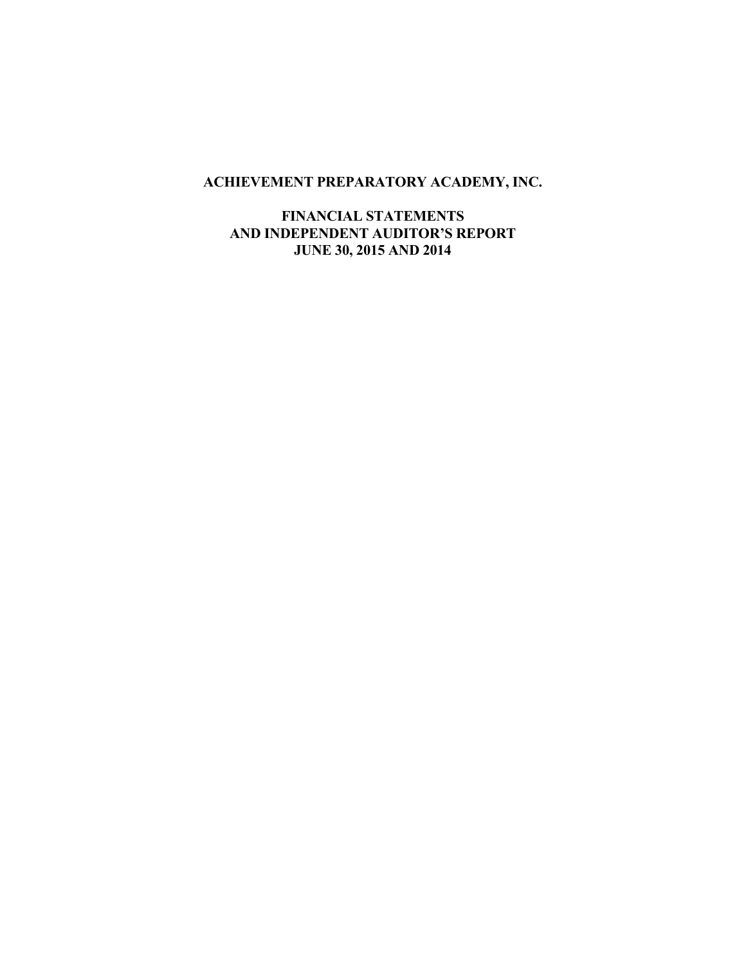# **ACHIEVEMENT PREPARATORY ACADEMY, INC.**

**FINANCIAL STATEMENTS AND INDEPENDENT AUDITOR'S REPORT JUNE 30, 2015 AND 2014**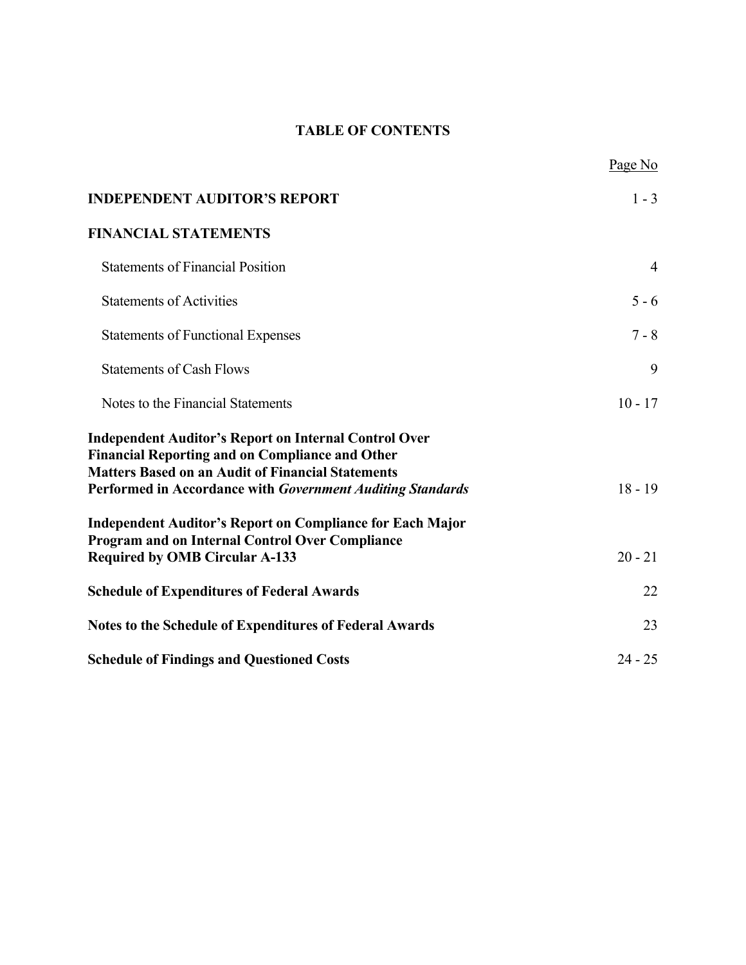# **TABLE OF CONTENTS**

|                                                                                                                                                                                                                                                  | Page No   |
|--------------------------------------------------------------------------------------------------------------------------------------------------------------------------------------------------------------------------------------------------|-----------|
| <b>INDEPENDENT AUDITOR'S REPORT</b>                                                                                                                                                                                                              | $1 - 3$   |
| <b>FINANCIAL STATEMENTS</b>                                                                                                                                                                                                                      |           |
| <b>Statements of Financial Position</b>                                                                                                                                                                                                          | 4         |
| <b>Statements of Activities</b>                                                                                                                                                                                                                  | $5 - 6$   |
| <b>Statements of Functional Expenses</b>                                                                                                                                                                                                         | $7 - 8$   |
| <b>Statements of Cash Flows</b>                                                                                                                                                                                                                  | 9         |
| Notes to the Financial Statements                                                                                                                                                                                                                | $10 - 17$ |
| <b>Independent Auditor's Report on Internal Control Over</b><br><b>Financial Reporting and on Compliance and Other</b><br><b>Matters Based on an Audit of Financial Statements</b><br>Performed in Accordance with Government Auditing Standards | $18 - 19$ |
| <b>Independent Auditor's Report on Compliance for Each Major</b><br><b>Program and on Internal Control Over Compliance</b><br><b>Required by OMB Circular A-133</b>                                                                              | $20 - 21$ |
| <b>Schedule of Expenditures of Federal Awards</b>                                                                                                                                                                                                | 22        |
| <b>Notes to the Schedule of Expenditures of Federal Awards</b>                                                                                                                                                                                   | 23        |
| <b>Schedule of Findings and Questioned Costs</b>                                                                                                                                                                                                 | $24 - 25$ |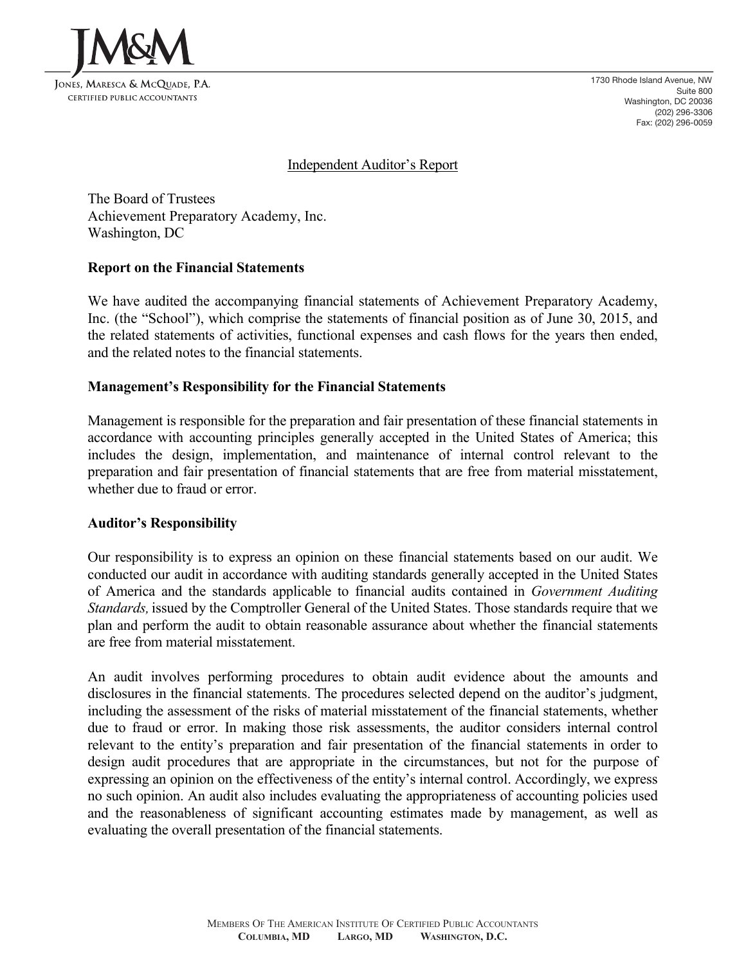

1730 Rhode Island Avenue, NW Suite 800 Washington, DC 20036 (202) 296-3306 Fax: (202) 296-0059

## Independent Auditor's Report

The Board of Trustees Achievement Preparatory Academy, Inc. Washington, DC

### **Report on the Financial Statements**

We have audited the accompanying financial statements of Achievement Preparatory Academy, Inc. (the "School"), which comprise the statements of financial position as of June 30, 2015, and the related statements of activities, functional expenses and cash flows for the years then ended, and the related notes to the financial statements.

### **Management's Responsibility for the Financial Statements**

Management is responsible for the preparation and fair presentation of these financial statements in accordance with accounting principles generally accepted in the United States of America; this includes the design, implementation, and maintenance of internal control relevant to the preparation and fair presentation of financial statements that are free from material misstatement, whether due to fraud or error.

### **Auditor's Responsibility**

Our responsibility is to express an opinion on these financial statements based on our audit. We conducted our audit in accordance with auditing standards generally accepted in the United States of America and the standards applicable to financial audits contained in *Government Auditing Standards,* issued by the Comptroller General of the United States. Those standards require that we plan and perform the audit to obtain reasonable assurance about whether the financial statements are free from material misstatement.

An audit involves performing procedures to obtain audit evidence about the amounts and disclosures in the financial statements. The procedures selected depend on the auditor's judgment, including the assessment of the risks of material misstatement of the financial statements, whether due to fraud or error. In making those risk assessments, the auditor considers internal control relevant to the entity's preparation and fair presentation of the financial statements in order to design audit procedures that are appropriate in the circumstances, but not for the purpose of expressing an opinion on the effectiveness of the entity's internal control. Accordingly, we express no such opinion. An audit also includes evaluating the appropriateness of accounting policies used and the reasonableness of significant accounting estimates made by management, as well as evaluating the overall presentation of the financial statements.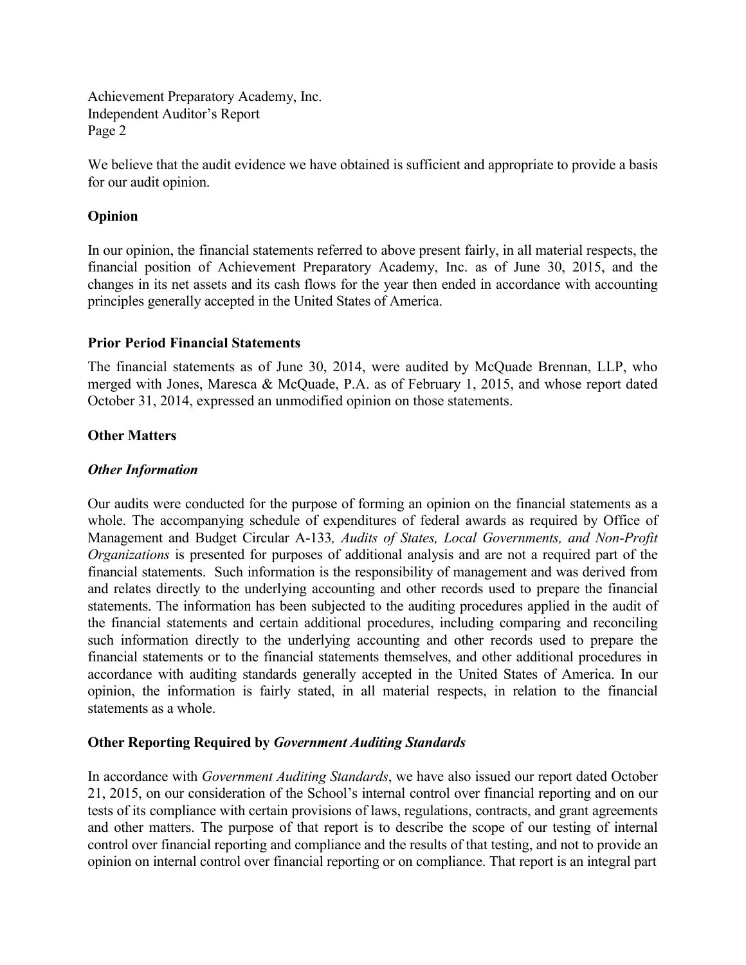Achievement Preparatory Academy, Inc. Independent Auditor's Report Page 2

We believe that the audit evidence we have obtained is sufficient and appropriate to provide a basis for our audit opinion.

## **Opinion**

In our opinion, the financial statements referred to above present fairly, in all material respects, the financial position of Achievement Preparatory Academy, Inc. as of June 30, 2015, and the changes in its net assets and its cash flows for the year then ended in accordance with accounting principles generally accepted in the United States of America.

### **Prior Period Financial Statements**

The financial statements as of June 30, 2014, were audited by McQuade Brennan, LLP, who merged with Jones, Maresca & McQuade, P.A. as of February 1, 2015, and whose report dated October 31, 2014, expressed an unmodified opinion on those statements.

## **Other Matters**

## *Other Information*

Our audits were conducted for the purpose of forming an opinion on the financial statements as a whole. The accompanying schedule of expenditures of federal awards as required by Office of Management and Budget Circular A-133*, Audits of States, Local Governments, and Non-Profit Organizations* is presented for purposes of additional analysis and are not a required part of the financial statements. Such information is the responsibility of management and was derived from and relates directly to the underlying accounting and other records used to prepare the financial statements. The information has been subjected to the auditing procedures applied in the audit of the financial statements and certain additional procedures, including comparing and reconciling such information directly to the underlying accounting and other records used to prepare the financial statements or to the financial statements themselves, and other additional procedures in accordance with auditing standards generally accepted in the United States of America. In our opinion, the information is fairly stated, in all material respects, in relation to the financial statements as a whole.

### **Other Reporting Required by** *Government Auditing Standards*

In accordance with *Government Auditing Standards*, we have also issued our report dated October 21, 2015, on our consideration of the School's internal control over financial reporting and on our tests of its compliance with certain provisions of laws, regulations, contracts, and grant agreements and other matters. The purpose of that report is to describe the scope of our testing of internal control over financial reporting and compliance and the results of that testing, and not to provide an opinion on internal control over financial reporting or on compliance. That report is an integral part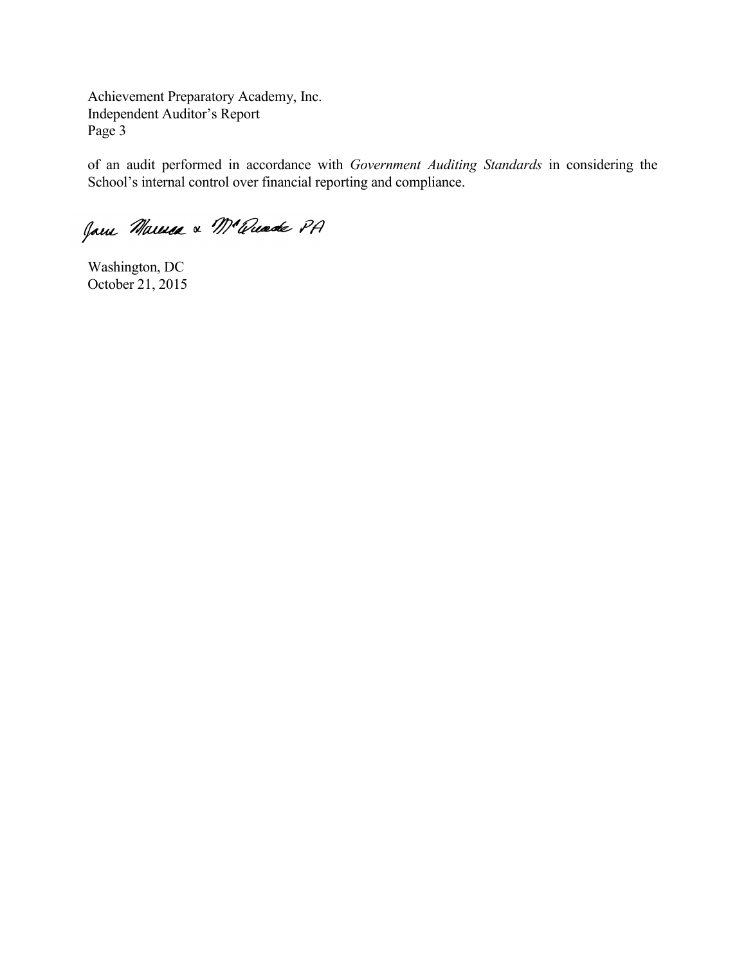Achievement Preparatory Academy, Inc. Independent Auditor's Report Page 3

of an audit performed in accordance with *Government Auditing Standards* in considering the School's internal control over financial reporting and compliance.

Jam Marma & Ma Quade PA

Washington, DC October 21, 2015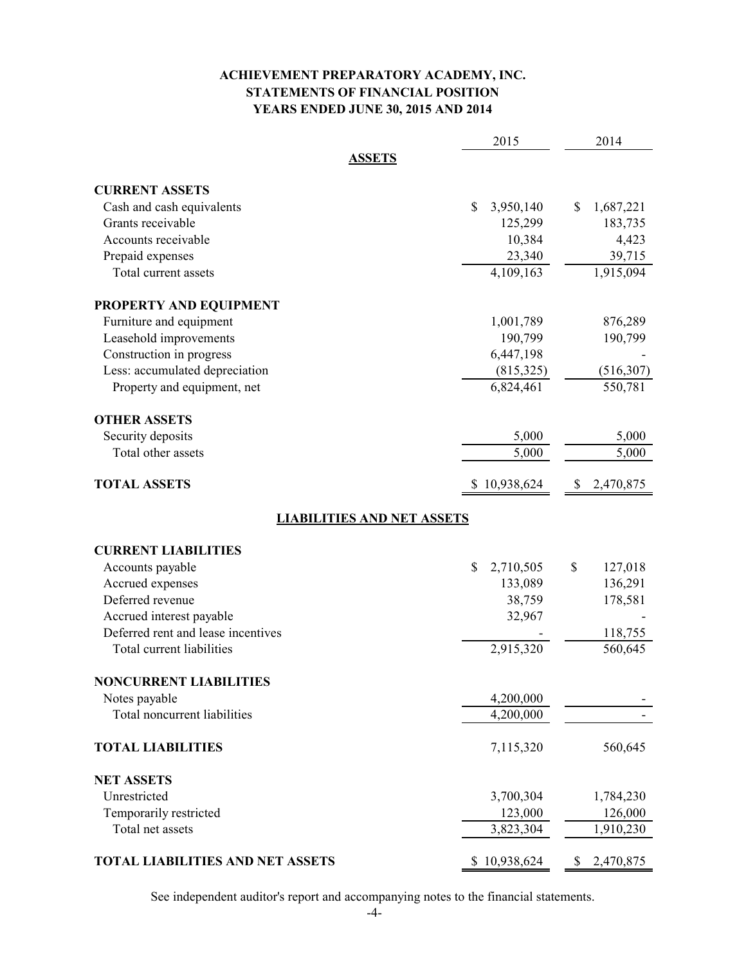## **ACHIEVEMENT PREPARATORY ACADEMY, INC. STATEMENTS OF FINANCIAL POSITION YEARS ENDED JUNE 30, 2015 AND 2014**

|                                    | 2015            | 2014                   |
|------------------------------------|-----------------|------------------------|
| <b>ASSETS</b>                      |                 |                        |
| <b>CURRENT ASSETS</b>              |                 |                        |
| Cash and cash equivalents          | 3,950,140<br>\$ | S<br>1,687,221         |
| Grants receivable                  | 125,299         | 183,735                |
| Accounts receivable                | 10,384          | 4,423                  |
| Prepaid expenses                   | 23,340          | 39,715                 |
| Total current assets               | 4,109,163       | $\overline{1,915,094}$ |
| PROPERTY AND EQUIPMENT             |                 |                        |
| Furniture and equipment            | 1,001,789       | 876,289                |
| Leasehold improvements             | 190,799         | 190,799                |
| Construction in progress           | 6,447,198       |                        |
| Less: accumulated depreciation     | (815, 325)      | (516, 307)             |
| Property and equipment, net        | 6,824,461       | 550,781                |
| <b>OTHER ASSETS</b>                |                 |                        |
| Security deposits                  | 5,000           | 5,000                  |
| Total other assets                 | 5,000           | 5,000                  |
| <b>TOTAL ASSETS</b>                | \$10,938,624    | 2,470,875<br>\$        |
| <b>LIABILITIES AND NET ASSETS</b>  |                 |                        |
| <b>CURRENT LIABILITIES</b>         |                 |                        |
| Accounts payable                   | 2,710,505<br>\$ | \$<br>127,018          |
| Accrued expenses                   | 133,089         | 136,291                |
| Deferred revenue                   | 38,759          | 178,581                |
| Accrued interest payable           | 32,967          |                        |
| Deferred rent and lease incentives |                 | 118,755                |
| Total current liabilities          | 2,915,320       | 560,645                |
| <b>NONCURRENT LIABILITIES</b>      |                 |                        |
| Notes payable                      | 4,200,000       |                        |
| Total noncurrent liabilities       | 4,200,000       |                        |
| <b>TOTAL LIABILITIES</b>           | 7,115,320       | 560,645                |
| <b>NET ASSETS</b>                  |                 |                        |
| Unrestricted                       | 3,700,304       | 1,784,230              |
| Temporarily restricted             | 123,000         | 126,000                |
| Total net assets                   | 3,823,304       | 1,910,230              |
| TOTAL LIABILITIES AND NET ASSETS   | \$10,938,624    | 2,470,875<br>\$        |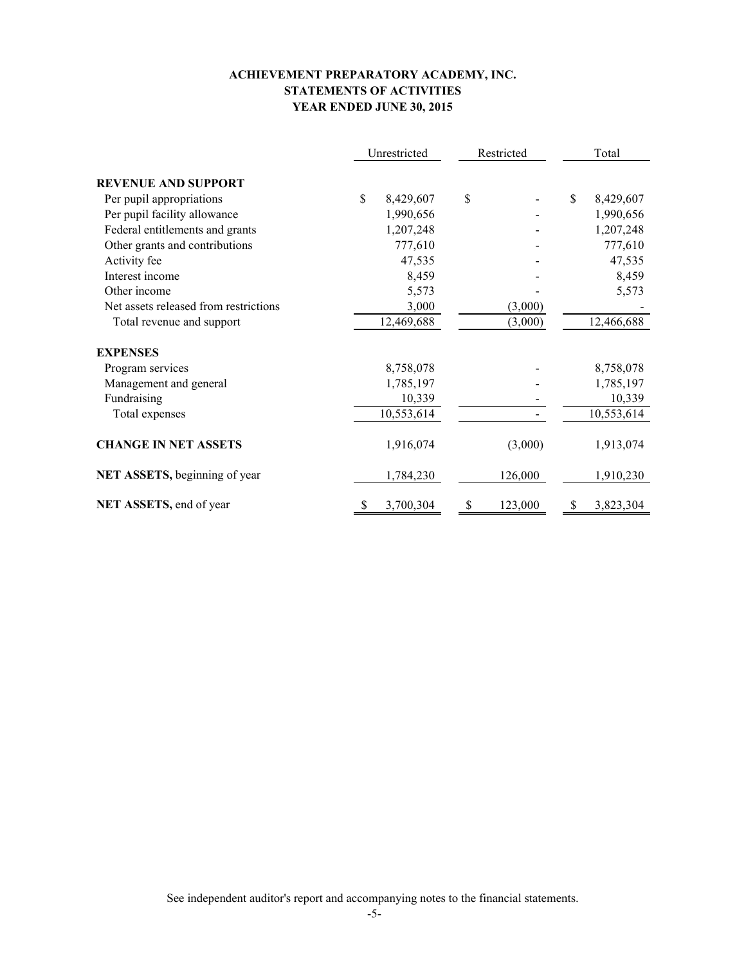### **ACHIEVEMENT PREPARATORY ACADEMY, INC. STATEMENTS OF ACTIVITIES YEAR ENDED JUNE 30, 2015**

|                                       | Unrestricted |            | Restricted |         | Total |            |
|---------------------------------------|--------------|------------|------------|---------|-------|------------|
| <b>REVENUE AND SUPPORT</b>            |              |            |            |         |       |            |
| Per pupil appropriations              | \$           | 8,429,607  | \$         |         | \$    | 8,429,607  |
| Per pupil facility allowance          |              | 1,990,656  |            |         |       | 1,990,656  |
| Federal entitlements and grants       |              | 1,207,248  |            |         |       | 1,207,248  |
| Other grants and contributions        |              | 777,610    |            |         |       | 777,610    |
| Activity fee                          |              | 47,535     |            |         |       | 47,535     |
| Interest income                       |              | 8,459      |            |         |       | 8,459      |
| Other income                          |              | 5,573      |            |         |       | 5,573      |
| Net assets released from restrictions |              | 3,000      |            | (3,000) |       |            |
| Total revenue and support             |              | 12,469,688 |            | (3,000) |       | 12,466,688 |
| <b>EXPENSES</b>                       |              |            |            |         |       |            |
| Program services                      |              | 8,758,078  |            |         |       | 8,758,078  |
| Management and general                |              | 1,785,197  |            |         |       | 1,785,197  |
| Fundraising                           |              | 10,339     |            |         |       | 10,339     |
| Total expenses                        |              | 10,553,614 |            |         |       | 10,553,614 |
| <b>CHANGE IN NET ASSETS</b>           |              | 1,916,074  |            | (3,000) |       | 1,913,074  |
| NET ASSETS, beginning of year         |              | 1,784,230  |            | 126,000 |       | 1,910,230  |
| NET ASSETS, end of year               | \$           | 3,700,304  | \$         | 123,000 | \$    | 3,823,304  |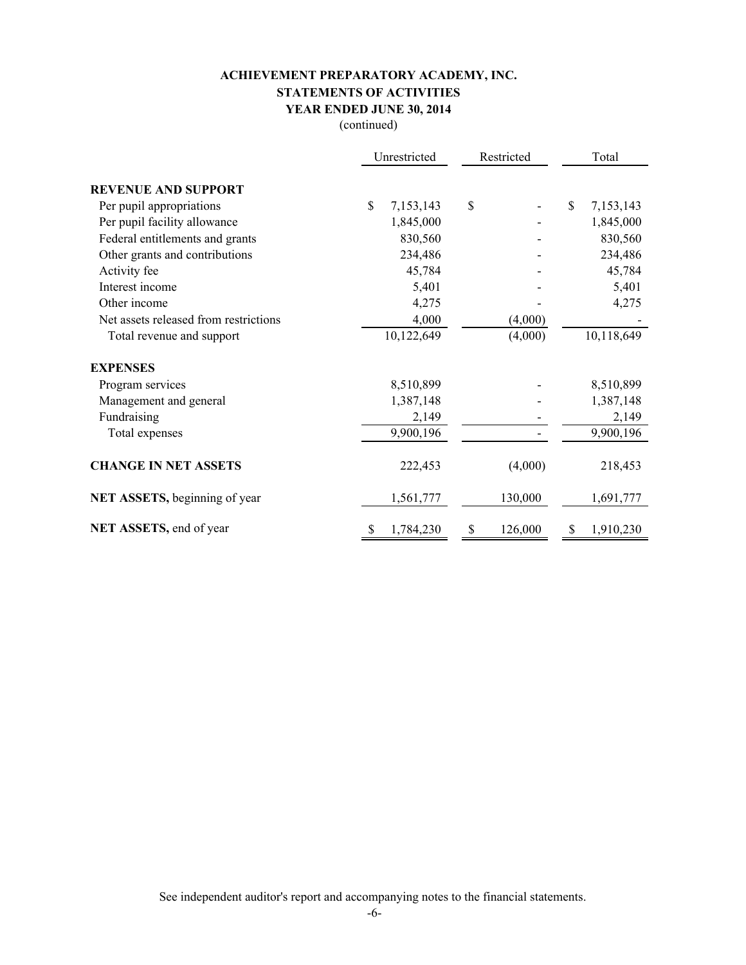## **ACHIEVEMENT PREPARATORY ACADEMY, INC. STATEMENTS OF ACTIVITIES YEAR ENDED JUNE 30, 2014**

(continued)

|                                       | Unrestricted    | Restricted    | Total           |  |
|---------------------------------------|-----------------|---------------|-----------------|--|
| <b>REVENUE AND SUPPORT</b>            |                 |               |                 |  |
| Per pupil appropriations              | \$<br>7,153,143 | \$            | \$<br>7,153,143 |  |
| Per pupil facility allowance          | 1,845,000       |               | 1,845,000       |  |
| Federal entitlements and grants       | 830,560         |               | 830,560         |  |
| Other grants and contributions        | 234,486         |               | 234,486         |  |
| Activity fee                          | 45,784          |               | 45,784          |  |
| Interest income                       | 5,401           |               | 5,401           |  |
| Other income                          | 4,275           |               | 4,275           |  |
| Net assets released from restrictions | 4,000           | (4,000)       |                 |  |
| Total revenue and support             | 10,122,649      | (4,000)       | 10,118,649      |  |
| <b>EXPENSES</b>                       |                 |               |                 |  |
| Program services                      | 8,510,899       |               | 8,510,899       |  |
| Management and general                | 1,387,148       |               | 1,387,148       |  |
| Fundraising                           | 2,149           |               | 2,149           |  |
| Total expenses                        | 9,900,196       |               | 9,900,196       |  |
| <b>CHANGE IN NET ASSETS</b>           | 222,453         | (4,000)       | 218,453         |  |
| NET ASSETS, beginning of year         | 1,561,777       | 130,000       | 1,691,777       |  |
| NET ASSETS, end of year               | 1,784,230<br>S  | 126,000<br>\$ | \$<br>1,910,230 |  |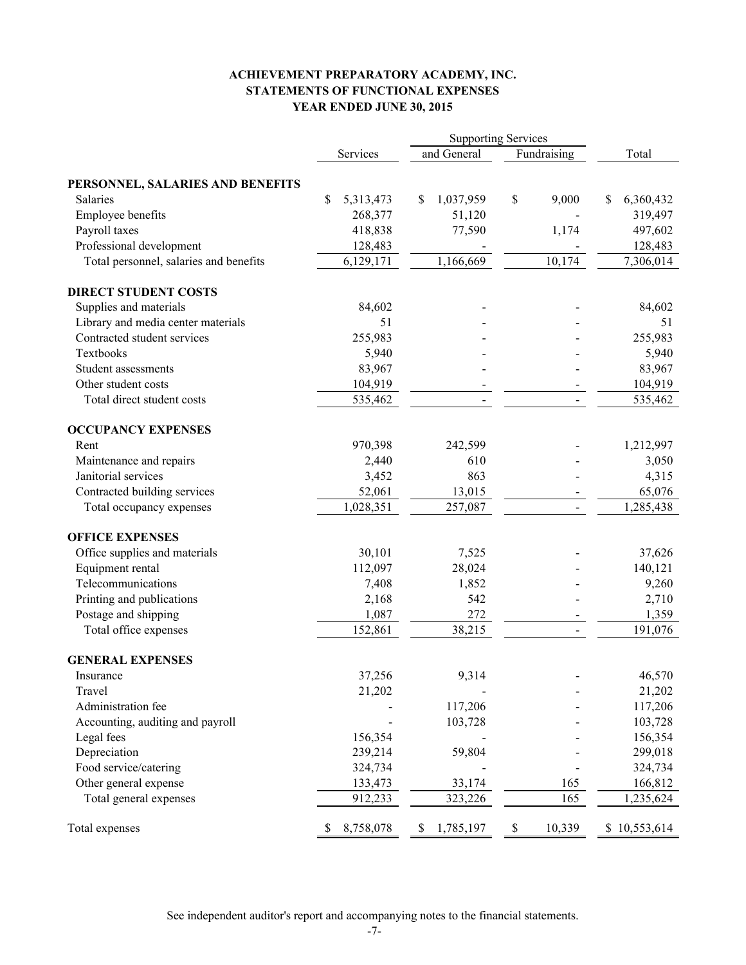### **ACHIEVEMENT PREPARATORY ACADEMY, INC. STATEMENTS OF FUNCTIONAL EXPENSES YEAR ENDED JUNE 30, 2015**

|                                        |                 | <b>Supporting Services</b> |              |                 |
|----------------------------------------|-----------------|----------------------------|--------------|-----------------|
|                                        | Services        | and General                | Fundraising  | Total           |
| PERSONNEL, SALARIES AND BENEFITS       |                 |                            |              |                 |
| Salaries                               | \$<br>5,313,473 | \$<br>1,037,959            | \$<br>9,000  | 6,360,432<br>\$ |
| Employee benefits                      | 268,377         | 51,120                     |              | 319,497         |
| Payroll taxes                          | 418,838         | 77,590                     | 1,174        | 497,602         |
| Professional development               | 128,483         |                            |              | 128,483         |
| Total personnel, salaries and benefits | 6,129,171       | 1,166,669                  | 10,174       | 7,306,014       |
| <b>DIRECT STUDENT COSTS</b>            |                 |                            |              |                 |
| Supplies and materials                 | 84,602          |                            |              | 84,602          |
| Library and media center materials     | 51              |                            |              | 51              |
| Contracted student services            | 255,983         |                            |              | 255,983         |
| Textbooks                              | 5,940           |                            |              | 5,940           |
| Student assessments                    | 83,967          |                            |              | 83,967          |
| Other student costs                    | 104,919         |                            |              | 104,919         |
| Total direct student costs             | 535,462         |                            |              | 535,462         |
| <b>OCCUPANCY EXPENSES</b>              |                 |                            |              |                 |
| Rent                                   | 970,398         | 242,599                    |              | 1,212,997       |
| Maintenance and repairs                | 2,440           | 610                        |              | 3,050           |
| Janitorial services                    | 3,452           | 863                        |              | 4,315           |
| Contracted building services           | 52,061          | 13,015                     |              | 65,076          |
| Total occupancy expenses               | 1,028,351       | 257,087                    |              | 1,285,438       |
| <b>OFFICE EXPENSES</b>                 |                 |                            |              |                 |
| Office supplies and materials          | 30,101          | 7,525                      |              | 37,626          |
| Equipment rental                       | 112,097         | 28,024                     |              | 140,121         |
| Telecommunications                     | 7,408           | 1,852                      |              | 9,260           |
| Printing and publications              | 2,168           | 542                        |              | 2,710           |
| Postage and shipping                   | 1,087           | 272                        |              | 1,359           |
| Total office expenses                  | 152,861         | 38,215                     |              | 191,076         |
| <b>GENERAL EXPENSES</b>                |                 |                            |              |                 |
| Insurance                              | 37,256          | 9,314                      |              | 46,570          |
| Travel                                 | 21,202          |                            |              | 21,202          |
| Administration fee                     |                 | 117,206                    |              | 117,206         |
| Accounting, auditing and payroll       |                 | 103,728                    |              | 103,728         |
| Legal fees                             | 156,354         |                            |              | 156,354         |
| Depreciation                           | 239,214         | 59,804                     |              | 299,018         |
| Food service/catering                  | 324,734         |                            |              | 324,734         |
| Other general expense                  | 133,473         | 33,174                     | 165          | 166,812         |
| Total general expenses                 | 912,233         | 323,226                    | 165          | 1,235,624       |
| Total expenses                         | 8,758,078<br>\$ | 1,785,197<br>\$            | \$<br>10,339 | \$10,553,614    |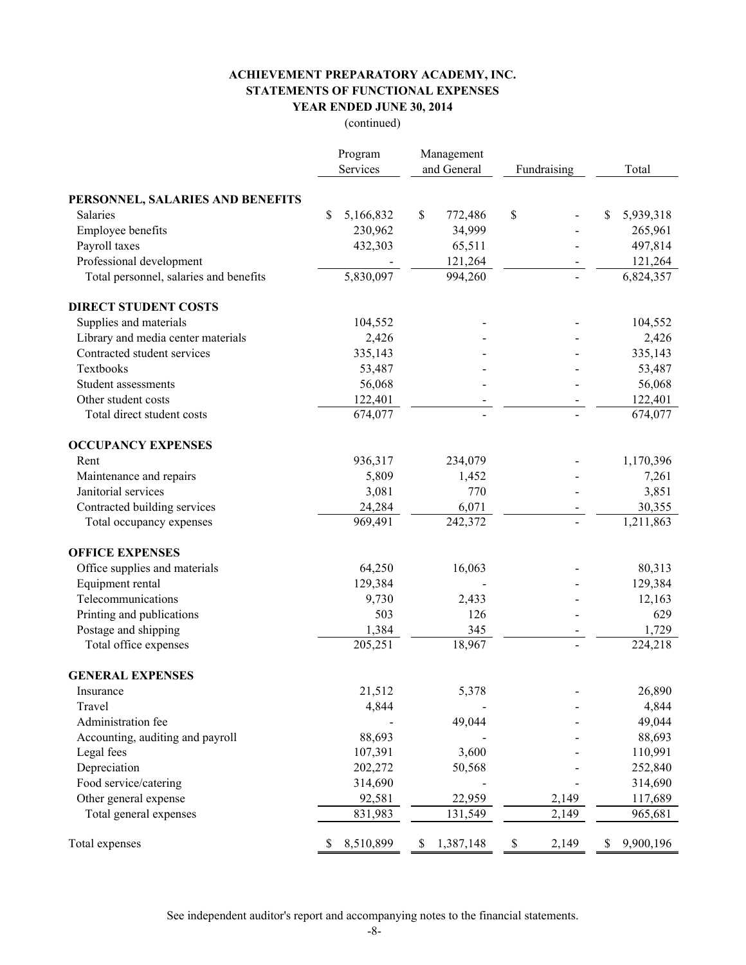### **ACHIEVEMENT PREPARATORY ACADEMY, INC. STATEMENTS OF FUNCTIONAL EXPENSES YEAR ENDED JUNE 30, 2014**

(continued)

|                                        | Program         | Management      |             |                 |  |
|----------------------------------------|-----------------|-----------------|-------------|-----------------|--|
|                                        | Services        | and General     | Fundraising | Total           |  |
| PERSONNEL, SALARIES AND BENEFITS       |                 |                 |             |                 |  |
| Salaries                               | \$<br>5,166,832 | \$<br>772,486   | \$          | 5,939,318<br>\$ |  |
| Employee benefits                      | 230,962         | 34,999          |             | 265,961         |  |
| Payroll taxes                          | 432,303         | 65,511          |             | 497,814         |  |
| Professional development               |                 | 121,264         |             | 121,264         |  |
| Total personnel, salaries and benefits | 5,830,097       | 994,260         |             | 6,824,357       |  |
| <b>DIRECT STUDENT COSTS</b>            |                 |                 |             |                 |  |
| Supplies and materials                 | 104,552         |                 |             | 104,552         |  |
| Library and media center materials     | 2,426           |                 |             | 2,426           |  |
| Contracted student services            | 335,143         |                 |             | 335,143         |  |
| Textbooks                              | 53,487          |                 |             | 53,487          |  |
| Student assessments                    | 56,068          |                 |             | 56,068          |  |
| Other student costs                    | 122,401         |                 |             | 122,401         |  |
| Total direct student costs             | 674,077         |                 |             | 674,077         |  |
| <b>OCCUPANCY EXPENSES</b>              |                 |                 |             |                 |  |
| Rent                                   | 936,317         | 234,079         |             | 1,170,396       |  |
| Maintenance and repairs                | 5,809           | 1,452           |             | 7,261           |  |
| Janitorial services                    | 3,081           | 770             |             | 3,851           |  |
| Contracted building services           | 24,284          | 6,071           |             | 30,355          |  |
| Total occupancy expenses               | 969,491         | 242,372         |             | 1,211,863       |  |
| <b>OFFICE EXPENSES</b>                 |                 |                 |             |                 |  |
| Office supplies and materials          | 64,250          | 16,063          |             | 80,313          |  |
| Equipment rental                       | 129,384         |                 |             | 129,384         |  |
| Telecommunications                     | 9,730           | 2,433           |             | 12,163          |  |
| Printing and publications              | 503             | 126             |             | 629             |  |
| Postage and shipping                   | 1,384           | 345             |             | 1,729           |  |
| Total office expenses                  | 205,251         | 18,967          |             | 224,218         |  |
| <b>GENERAL EXPENSES</b>                |                 |                 |             |                 |  |
| Insurance                              | 21,512          | 5,378           |             | 26,890          |  |
| Travel                                 | 4,844           |                 |             | 4,844           |  |
| Administration fee                     |                 | 49,044          |             | 49,044          |  |
| Accounting, auditing and payroll       | 88,693          |                 |             | 88,693          |  |
| Legal fees                             | 107,391         | 3,600           |             | 110,991         |  |
| Depreciation                           | 202,272         | 50,568          |             | 252,840         |  |
| Food service/catering                  | 314,690         |                 |             | 314,690         |  |
| Other general expense                  | 92,581          | 22,959          | 2,149       | 117,689         |  |
| Total general expenses                 | 831,983         | 131,549         | 2,149       | 965,681         |  |
| Total expenses                         | 8,510,899<br>\$ | 1,387,148<br>\$ | \$<br>2,149 | 9,900,196<br>\$ |  |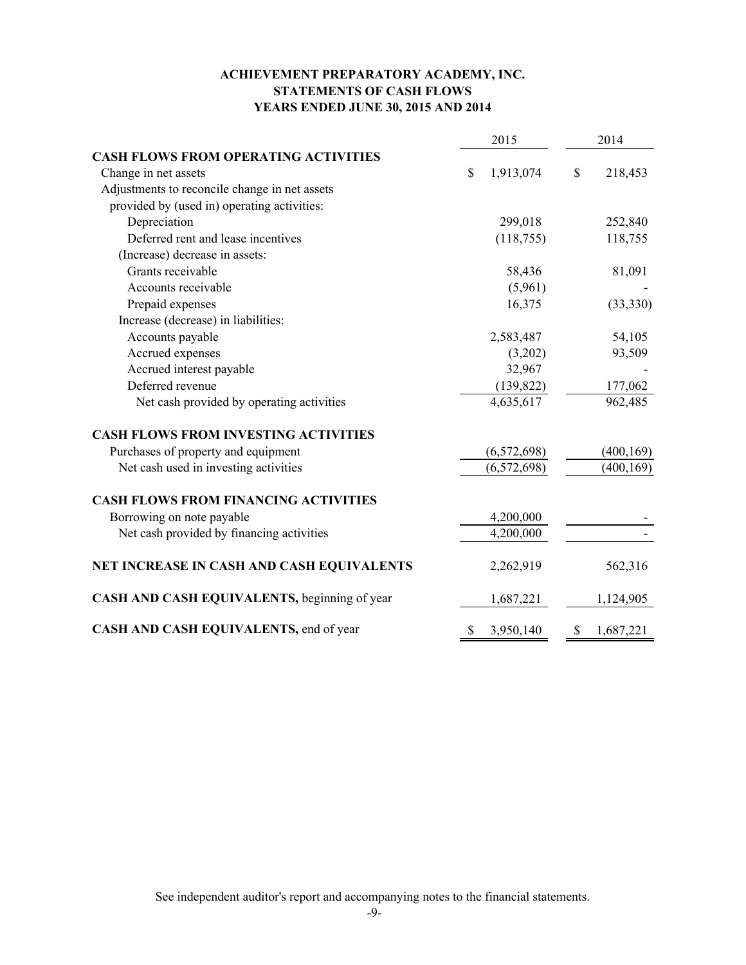## **ACHIEVEMENT PREPARATORY ACADEMY, INC. STATEMENTS OF CASH FLOWS YEARS ENDED JUNE 30, 2015 AND 2014**

|                                               | 2015            | 2014            |  |
|-----------------------------------------------|-----------------|-----------------|--|
| <b>CASH FLOWS FROM OPERATING ACTIVITIES</b>   |                 |                 |  |
| Change in net assets                          | \$<br>1,913,074 | \$<br>218,453   |  |
| Adjustments to reconcile change in net assets |                 |                 |  |
| provided by (used in) operating activities:   |                 |                 |  |
| Depreciation                                  | 299,018         | 252,840         |  |
| Deferred rent and lease incentives            | (118, 755)      | 118,755         |  |
| (Increase) decrease in assets:                |                 |                 |  |
| Grants receivable                             | 58,436          | 81,091          |  |
| Accounts receivable                           | (5,961)         |                 |  |
| Prepaid expenses                              | 16,375          | (33, 330)       |  |
| Increase (decrease) in liabilities:           |                 |                 |  |
| Accounts payable                              | 2,583,487       | 54,105          |  |
| Accrued expenses                              | (3,202)         | 93,509          |  |
| Accrued interest payable                      | 32,967          |                 |  |
| Deferred revenue                              | (139, 822)      | 177,062         |  |
| Net cash provided by operating activities     | 4,635,617       | 962,485         |  |
| <b>CASH FLOWS FROM INVESTING ACTIVITIES</b>   |                 |                 |  |
| Purchases of property and equipment           | (6, 572, 698)   | (400, 169)      |  |
| Net cash used in investing activities         | (6, 572, 698)   | (400, 169)      |  |
| <b>CASH FLOWS FROM FINANCING ACTIVITIES</b>   |                 |                 |  |
| Borrowing on note payable                     | 4,200,000       |                 |  |
| Net cash provided by financing activities     | 4,200,000       |                 |  |
| NET INCREASE IN CASH AND CASH EQUIVALENTS     | 2,262,919       | 562,316         |  |
| CASH AND CASH EQUIVALENTS, beginning of year  | 1,687,221       | 1,124,905       |  |
| CASH AND CASH EQUIVALENTS, end of year        | \$<br>3,950,140 | \$<br>1,687,221 |  |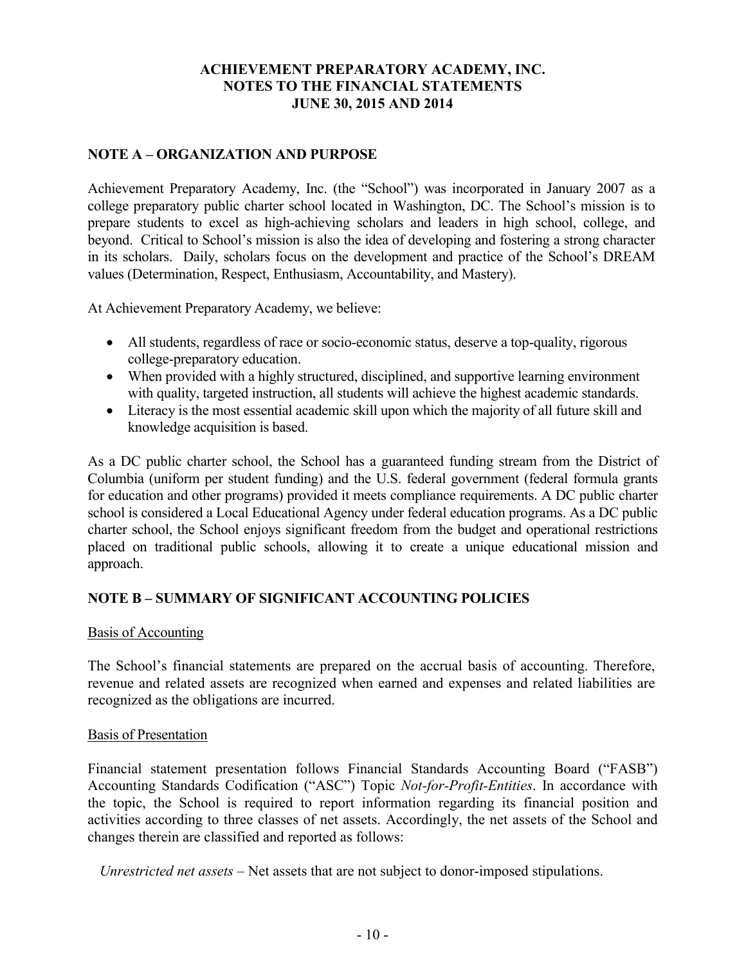## **ACHIEVEMENT PREPARATORY ACADEMY, INC. NOTES TO THE FINANCIAL STATEMENTS JUNE 30, 2015 AND 2014**

## **NOTE A – ORGANIZATION AND PURPOSE**

Achievement Preparatory Academy, Inc. (the "School") was incorporated in January 2007 as a college preparatory public charter school located in Washington, DC. The School's mission is to prepare students to excel as high-achieving scholars and leaders in high school, college, and beyond. Critical to School's mission is also the idea of developing and fostering a strong character in its scholars. Daily, scholars focus on the development and practice of the School's DREAM values (Determination, Respect, Enthusiasm, Accountability, and Mastery).

At Achievement Preparatory Academy, we believe:

- All students, regardless of race or socio-economic status, deserve a top-quality, rigorous college-preparatory education.
- When provided with a highly structured, disciplined, and supportive learning environment with quality, targeted instruction, all students will achieve the highest academic standards.
- Literacy is the most essential academic skill upon which the majority of all future skill and knowledge acquisition is based.

As a DC public charter school, the School has a guaranteed funding stream from the District of Columbia (uniform per student funding) and the U.S. federal government (federal formula grants for education and other programs) provided it meets compliance requirements. A DC public charter school is considered a Local Educational Agency under federal education programs. As a DC public charter school, the School enjoys significant freedom from the budget and operational restrictions placed on traditional public schools, allowing it to create a unique educational mission and approach.

## **NOTE B – SUMMARY OF SIGNIFICANT ACCOUNTING POLICIES**

### Basis of Accounting

The School's financial statements are prepared on the accrual basis of accounting. Therefore, revenue and related assets are recognized when earned and expenses and related liabilities are recognized as the obligations are incurred.

### Basis of Presentation

Financial statement presentation follows Financial Standards Accounting Board ("FASB") Accounting Standards Codification ("ASC") Topic *Not-for-Profit-Entities*. In accordance with the topic, the School is required to report information regarding its financial position and activities according to three classes of net assets. Accordingly, the net assets of the School and changes therein are classified and reported as follows:

*Unrestricted net assets* – Net assets that are not subject to donor-imposed stipulations.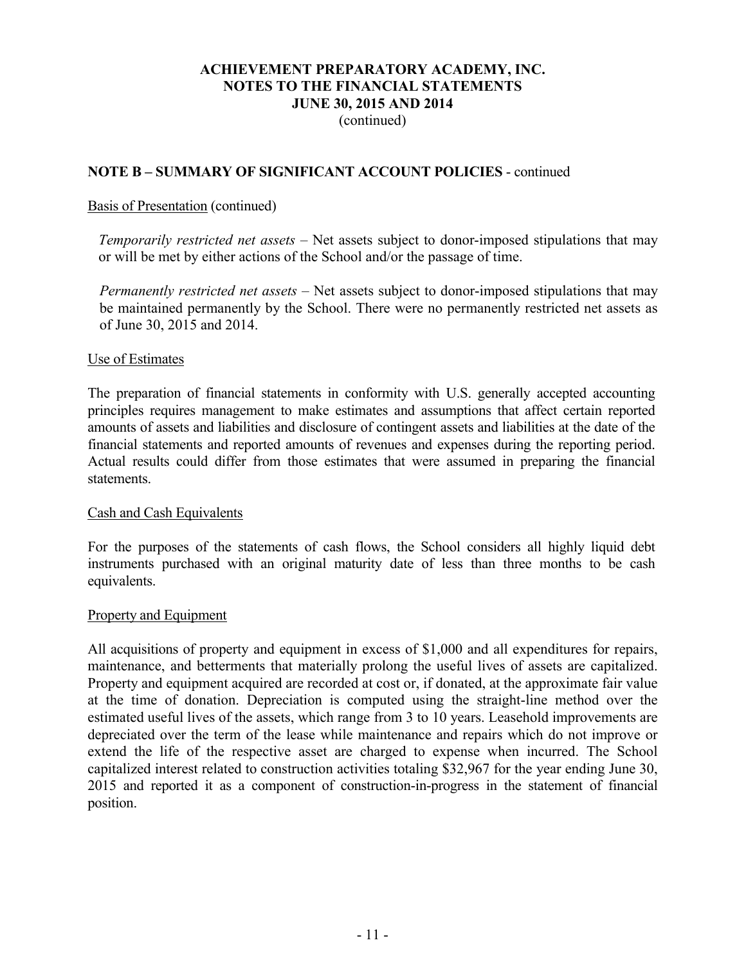## **ACHIEVEMENT PREPARATORY ACADEMY, INC. NOTES TO THE FINANCIAL STATEMENTS JUNE 30, 2015 AND 2014** (continued)

## **NOTE B – SUMMARY OF SIGNIFICANT ACCOUNT POLICIES** - continued

### Basis of Presentation (continued)

*Temporarily restricted net assets* – Net assets subject to donor-imposed stipulations that may or will be met by either actions of the School and/or the passage of time.

*Permanently restricted net assets* – Net assets subject to donor-imposed stipulations that may be maintained permanently by the School. There were no permanently restricted net assets as of June 30, 2015 and 2014.

### Use of Estimates

The preparation of financial statements in conformity with U.S. generally accepted accounting principles requires management to make estimates and assumptions that affect certain reported amounts of assets and liabilities and disclosure of contingent assets and liabilities at the date of the financial statements and reported amounts of revenues and expenses during the reporting period. Actual results could differ from those estimates that were assumed in preparing the financial statements.

### Cash and Cash Equivalents

For the purposes of the statements of cash flows, the School considers all highly liquid debt instruments purchased with an original maturity date of less than three months to be cash equivalents.

### Property and Equipment

All acquisitions of property and equipment in excess of \$1,000 and all expenditures for repairs, maintenance, and betterments that materially prolong the useful lives of assets are capitalized. Property and equipment acquired are recorded at cost or, if donated, at the approximate fair value at the time of donation. Depreciation is computed using the straight-line method over the estimated useful lives of the assets, which range from 3 to 10 years. Leasehold improvements are depreciated over the term of the lease while maintenance and repairs which do not improve or extend the life of the respective asset are charged to expense when incurred. The School capitalized interest related to construction activities totaling \$32,967 for the year ending June 30, 2015 and reported it as a component of construction-in-progress in the statement of financial position.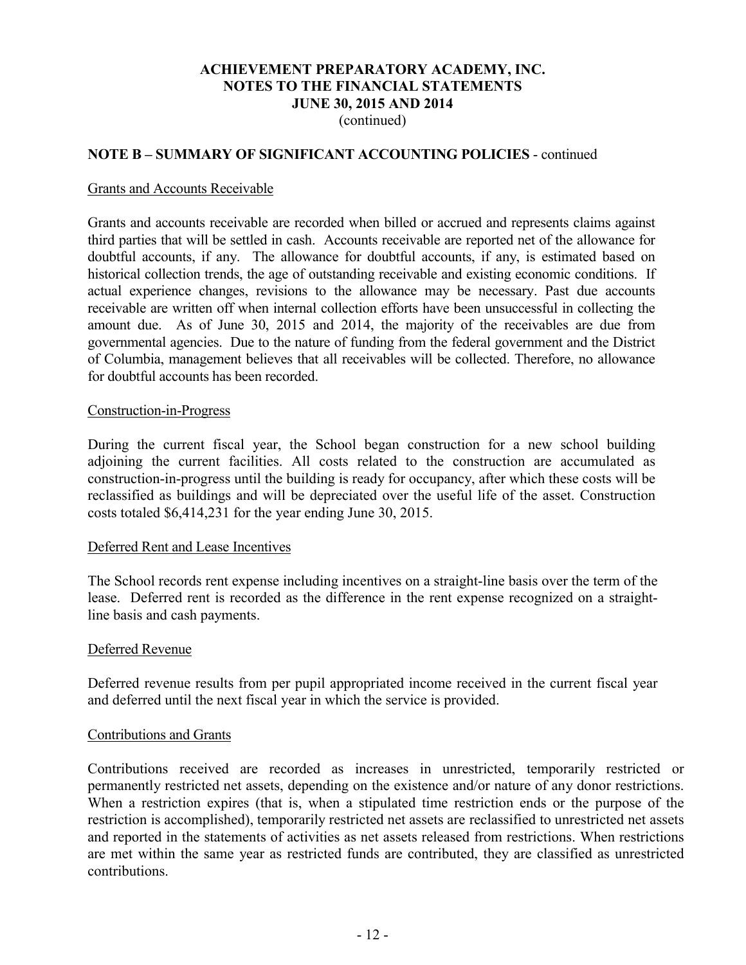# **ACHIEVEMENT PREPARATORY ACADEMY, INC. NOTES TO THE FINANCIAL STATEMENTS JUNE 30, 2015 AND 2014**

(continued)

## **NOTE B – SUMMARY OF SIGNIFICANT ACCOUNTING POLICIES** - continued

### Grants and Accounts Receivable

Grants and accounts receivable are recorded when billed or accrued and represents claims against third parties that will be settled in cash. Accounts receivable are reported net of the allowance for doubtful accounts, if any. The allowance for doubtful accounts, if any, is estimated based on historical collection trends, the age of outstanding receivable and existing economic conditions. If actual experience changes, revisions to the allowance may be necessary. Past due accounts receivable are written off when internal collection efforts have been unsuccessful in collecting the amount due. As of June 30, 2015 and 2014, the majority of the receivables are due from governmental agencies. Due to the nature of funding from the federal government and the District of Columbia, management believes that all receivables will be collected. Therefore, no allowance for doubtful accounts has been recorded.

### Construction-in-Progress

During the current fiscal year, the School began construction for a new school building adjoining the current facilities. All costs related to the construction are accumulated as construction-in-progress until the building is ready for occupancy, after which these costs will be reclassified as buildings and will be depreciated over the useful life of the asset. Construction costs totaled \$6,414,231 for the year ending June 30, 2015.

### Deferred Rent and Lease Incentives

The School records rent expense including incentives on a straight-line basis over the term of the lease. Deferred rent is recorded as the difference in the rent expense recognized on a straightline basis and cash payments.

### Deferred Revenue

Deferred revenue results from per pupil appropriated income received in the current fiscal year and deferred until the next fiscal year in which the service is provided.

### Contributions and Grants

Contributions received are recorded as increases in unrestricted, temporarily restricted or permanently restricted net assets, depending on the existence and/or nature of any donor restrictions. When a restriction expires (that is, when a stipulated time restriction ends or the purpose of the restriction is accomplished), temporarily restricted net assets are reclassified to unrestricted net assets and reported in the statements of activities as net assets released from restrictions. When restrictions are met within the same year as restricted funds are contributed, they are classified as unrestricted contributions.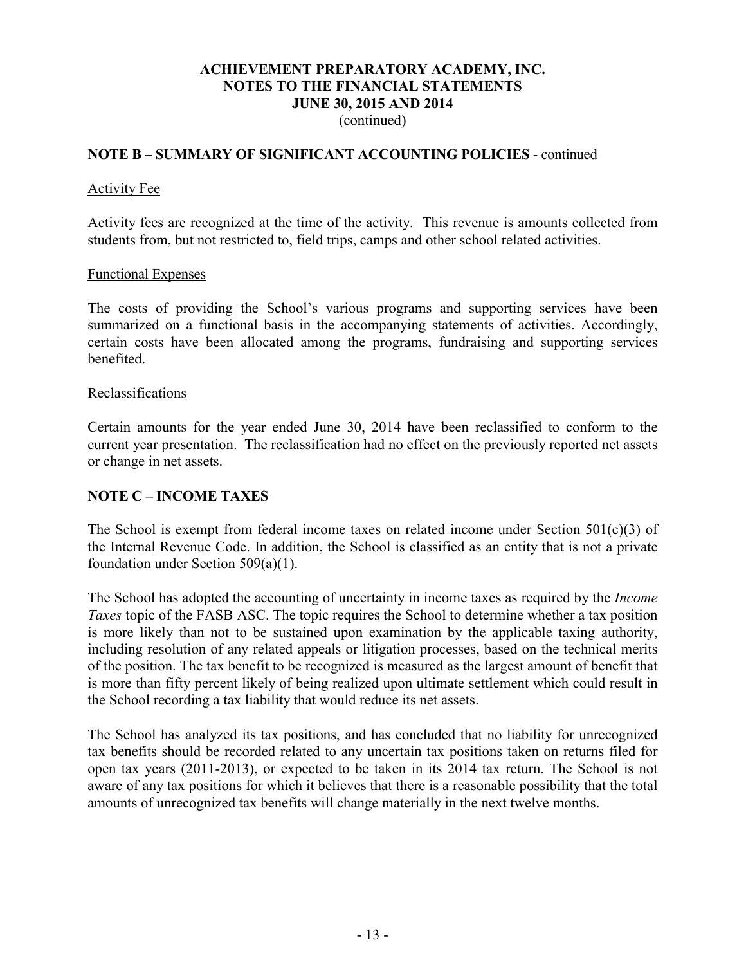## **ACHIEVEMENT PREPARATORY ACADEMY, INC. NOTES TO THE FINANCIAL STATEMENTS JUNE 30, 2015 AND 2014** (continued)

## **NOTE B – SUMMARY OF SIGNIFICANT ACCOUNTING POLICIES** - continued

### Activity Fee

Activity fees are recognized at the time of the activity. This revenue is amounts collected from students from, but not restricted to, field trips, camps and other school related activities.

### Functional Expenses

The costs of providing the School's various programs and supporting services have been summarized on a functional basis in the accompanying statements of activities. Accordingly, certain costs have been allocated among the programs, fundraising and supporting services benefited.

### Reclassifications

Certain amounts for the year ended June 30, 2014 have been reclassified to conform to the current year presentation. The reclassification had no effect on the previously reported net assets or change in net assets.

### **NOTE C – INCOME TAXES**

The School is exempt from federal income taxes on related income under Section  $501(c)(3)$  of the Internal Revenue Code. In addition, the School is classified as an entity that is not a private foundation under Section 509(a)(1).

The School has adopted the accounting of uncertainty in income taxes as required by the *Income Taxes* topic of the FASB ASC. The topic requires the School to determine whether a tax position is more likely than not to be sustained upon examination by the applicable taxing authority, including resolution of any related appeals or litigation processes, based on the technical merits of the position. The tax benefit to be recognized is measured as the largest amount of benefit that is more than fifty percent likely of being realized upon ultimate settlement which could result in the School recording a tax liability that would reduce its net assets.

The School has analyzed its tax positions, and has concluded that no liability for unrecognized tax benefits should be recorded related to any uncertain tax positions taken on returns filed for open tax years (2011-2013), or expected to be taken in its 2014 tax return. The School is not aware of any tax positions for which it believes that there is a reasonable possibility that the total amounts of unrecognized tax benefits will change materially in the next twelve months.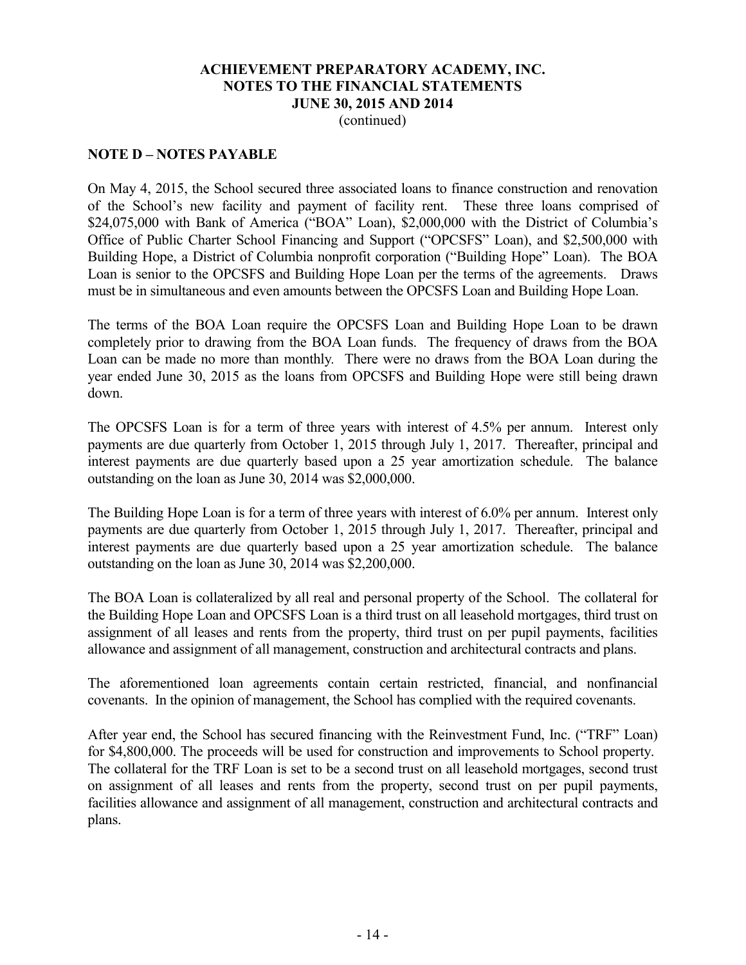# **ACHIEVEMENT PREPARATORY ACADEMY, INC. NOTES TO THE FINANCIAL STATEMENTS JUNE 30, 2015 AND 2014**

(continued)

## **NOTE D – NOTES PAYABLE**

On May 4, 2015, the School secured three associated loans to finance construction and renovation of the School's new facility and payment of facility rent. These three loans comprised of \$24,075,000 with Bank of America ("BOA" Loan), \$2,000,000 with the District of Columbia's Office of Public Charter School Financing and Support ("OPCSFS" Loan), and \$2,500,000 with Building Hope, a District of Columbia nonprofit corporation ("Building Hope" Loan). The BOA Loan is senior to the OPCSFS and Building Hope Loan per the terms of the agreements. Draws must be in simultaneous and even amounts between the OPCSFS Loan and Building Hope Loan.

The terms of the BOA Loan require the OPCSFS Loan and Building Hope Loan to be drawn completely prior to drawing from the BOA Loan funds. The frequency of draws from the BOA Loan can be made no more than monthly*.* There were no draws from the BOA Loan during the year ended June 30, 2015 as the loans from OPCSFS and Building Hope were still being drawn down.

The OPCSFS Loan is for a term of three years with interest of 4.5% per annum. Interest only payments are due quarterly from October 1, 2015 through July 1, 2017. Thereafter, principal and interest payments are due quarterly based upon a 25 year amortization schedule. The balance outstanding on the loan as June 30, 2014 was \$2,000,000.

The Building Hope Loan is for a term of three years with interest of 6.0% per annum. Interest only payments are due quarterly from October 1, 2015 through July 1, 2017. Thereafter, principal and interest payments are due quarterly based upon a 25 year amortization schedule. The balance outstanding on the loan as June 30, 2014 was \$2,200,000.

The BOA Loan is collateralized by all real and personal property of the School. The collateral for the Building Hope Loan and OPCSFS Loan is a third trust on all leasehold mortgages, third trust on assignment of all leases and rents from the property, third trust on per pupil payments, facilities allowance and assignment of all management, construction and architectural contracts and plans.

The aforementioned loan agreements contain certain restricted, financial, and nonfinancial covenants. In the opinion of management, the School has complied with the required covenants.

After year end, the School has secured financing with the Reinvestment Fund, Inc. ("TRF" Loan) for \$4,800,000. The proceeds will be used for construction and improvements to School property. The collateral for the TRF Loan is set to be a second trust on all leasehold mortgages, second trust on assignment of all leases and rents from the property, second trust on per pupil payments, facilities allowance and assignment of all management, construction and architectural contracts and plans.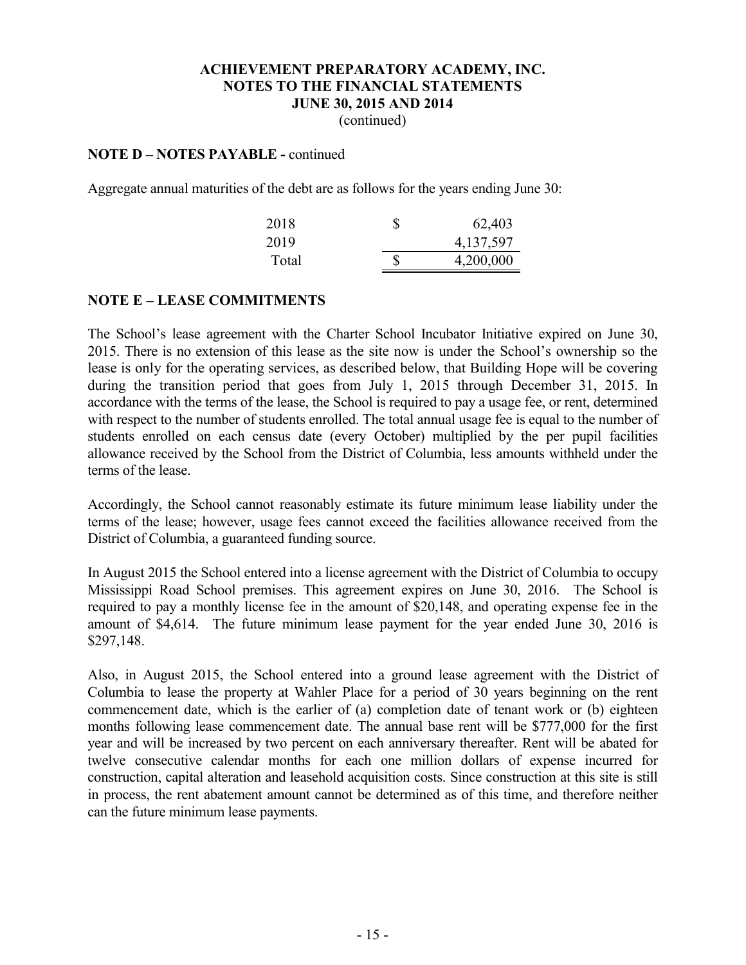# **ACHIEVEMENT PREPARATORY ACADEMY, INC. NOTES TO THE FINANCIAL STATEMENTS JUNE 30, 2015 AND 2014**

(continued)

### **NOTE D – NOTES PAYABLE -** continued

Aggregate annual maturities of the debt are as follows for the years ending June 30:

| 2018  | 62,403    |
|-------|-----------|
| 2019  | 4,137,597 |
| Total | 4,200,000 |

## **NOTE E – LEASE COMMITMENTS**

The School's lease agreement with the Charter School Incubator Initiative expired on June 30, 2015. There is no extension of this lease as the site now is under the School's ownership so the lease is only for the operating services, as described below, that Building Hope will be covering during the transition period that goes from July 1, 2015 through December 31, 2015. In accordance with the terms of the lease, the School is required to pay a usage fee, or rent, determined with respect to the number of students enrolled. The total annual usage fee is equal to the number of students enrolled on each census date (every October) multiplied by the per pupil facilities allowance received by the School from the District of Columbia, less amounts withheld under the terms of the lease.

Accordingly, the School cannot reasonably estimate its future minimum lease liability under the terms of the lease; however, usage fees cannot exceed the facilities allowance received from the District of Columbia, a guaranteed funding source.

In August 2015 the School entered into a license agreement with the District of Columbia to occupy Mississippi Road School premises. This agreement expires on June 30, 2016. The School is required to pay a monthly license fee in the amount of \$20,148, and operating expense fee in the amount of \$4,614. The future minimum lease payment for the year ended June 30, 2016 is \$297,148.

Also, in August 2015, the School entered into a ground lease agreement with the District of Columbia to lease the property at Wahler Place for a period of 30 years beginning on the rent commencement date, which is the earlier of (a) completion date of tenant work or (b) eighteen months following lease commencement date. The annual base rent will be \$777,000 for the first year and will be increased by two percent on each anniversary thereafter. Rent will be abated for twelve consecutive calendar months for each one million dollars of expense incurred for construction, capital alteration and leasehold acquisition costs. Since construction at this site is still in process, the rent abatement amount cannot be determined as of this time, and therefore neither can the future minimum lease payments.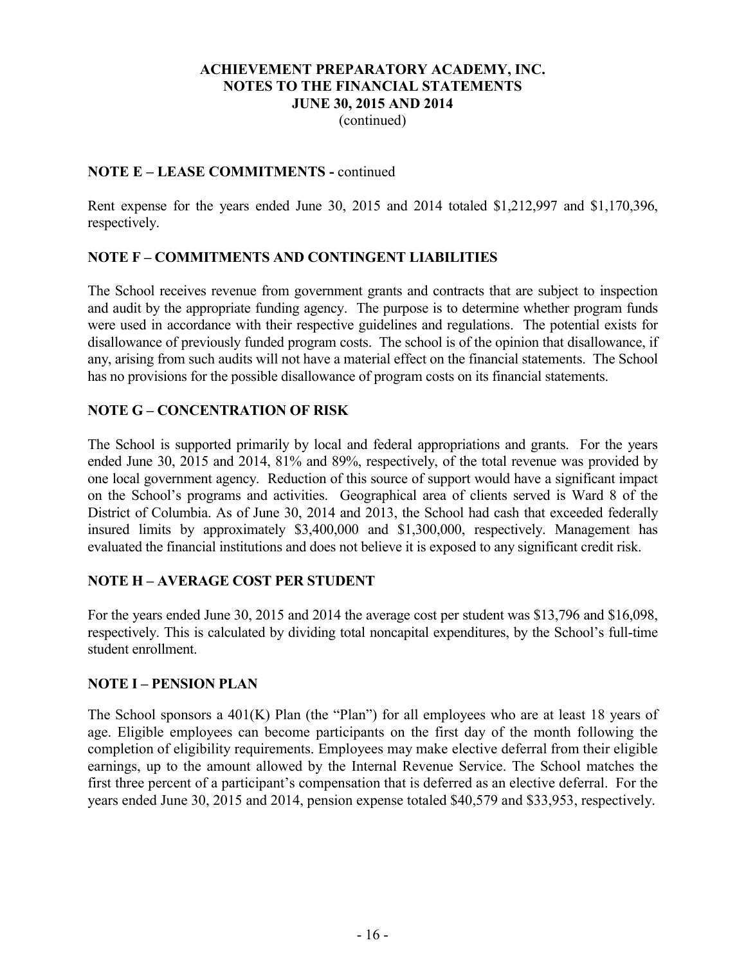## **ACHIEVEMENT PREPARATORY ACADEMY, INC. NOTES TO THE FINANCIAL STATEMENTS JUNE 30, 2015 AND 2014** (continued)

## **NOTE E – LEASE COMMITMENTS -** continued

Rent expense for the years ended June 30, 2015 and 2014 totaled \$1,212,997 and \$1,170,396, respectively.

## **NOTE F – COMMITMENTS AND CONTINGENT LIABILITIES**

The School receives revenue from government grants and contracts that are subject to inspection and audit by the appropriate funding agency. The purpose is to determine whether program funds were used in accordance with their respective guidelines and regulations. The potential exists for disallowance of previously funded program costs. The school is of the opinion that disallowance, if any, arising from such audits will not have a material effect on the financial statements. The School has no provisions for the possible disallowance of program costs on its financial statements.

## **NOTE G – CONCENTRATION OF RISK**

The School is supported primarily by local and federal appropriations and grants. For the years ended June 30, 2015 and 2014, 81% and 89%, respectively, of the total revenue was provided by one local government agency. Reduction of this source of support would have a significant impact on the School's programs and activities. Geographical area of clients served is Ward 8 of the District of Columbia. As of June 30, 2014 and 2013, the School had cash that exceeded federally insured limits by approximately \$3,400,000 and \$1,300,000, respectively. Management has evaluated the financial institutions and does not believe it is exposed to any significant credit risk.

## **NOTE H – AVERAGE COST PER STUDENT**

For the years ended June 30, 2015 and 2014 the average cost per student was \$13,796 and \$16,098, respectively. This is calculated by dividing total noncapital expenditures, by the School's full-time student enrollment.

### **NOTE I – PENSION PLAN**

The School sponsors a  $401(K)$  Plan (the "Plan") for all employees who are at least 18 years of age. Eligible employees can become participants on the first day of the month following the completion of eligibility requirements. Employees may make elective deferral from their eligible earnings, up to the amount allowed by the Internal Revenue Service. The School matches the first three percent of a participant's compensation that is deferred as an elective deferral. For the years ended June 30, 2015 and 2014, pension expense totaled \$40,579 and \$33,953, respectively.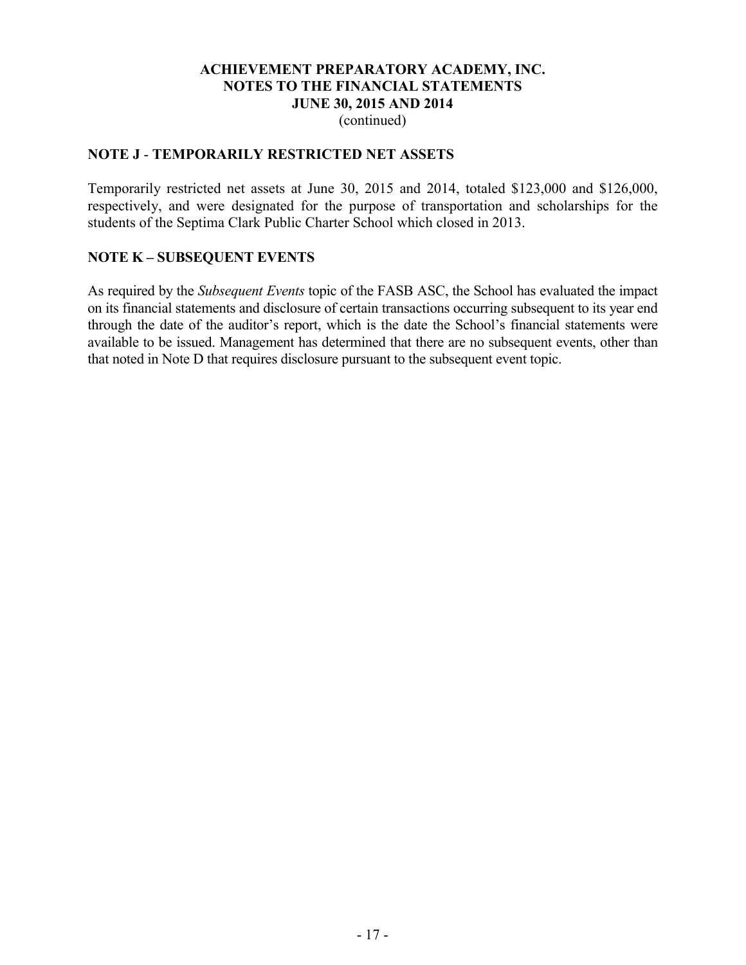# **ACHIEVEMENT PREPARATORY ACADEMY, INC. NOTES TO THE FINANCIAL STATEMENTS JUNE 30, 2015 AND 2014**

(continued)

## **NOTE J** - **TEMPORARILY RESTRICTED NET ASSETS**

Temporarily restricted net assets at June 30, 2015 and 2014, totaled \$123,000 and \$126,000, respectively, and were designated for the purpose of transportation and scholarships for the students of the Septima Clark Public Charter School which closed in 2013.

### **NOTE K – SUBSEQUENT EVENTS**

As required by the *Subsequent Events* topic of the FASB ASC, the School has evaluated the impact on its financial statements and disclosure of certain transactions occurring subsequent to its year end through the date of the auditor's report, which is the date the School's financial statements were available to be issued. Management has determined that there are no subsequent events, other than that noted in Note D that requires disclosure pursuant to the subsequent event topic.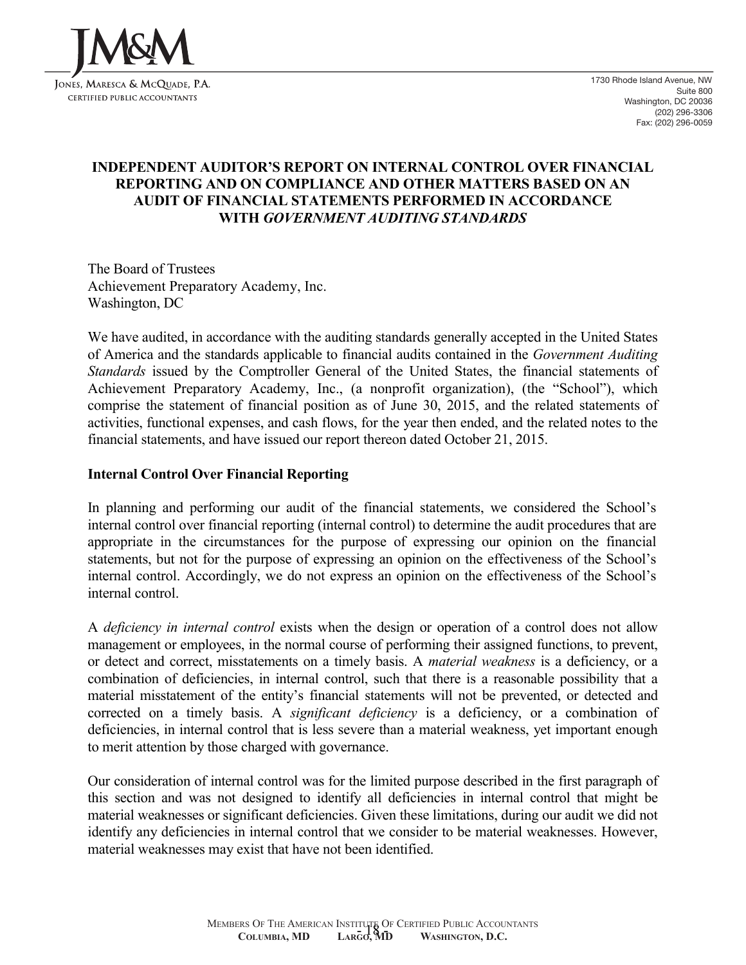

## **INDEPENDENT AUDITOR'S REPORT ON INTERNAL CONTROL OVER FINANCIAL REPORTING AND ON COMPLIANCE AND OTHER MATTERS BASED ON AN AUDIT OF FINANCIAL STATEMENTS PERFORMED IN ACCORDANCE WITH** *GOVERNMENT AUDITING STANDARDS*

The Board of Trustees Achievement Preparatory Academy, Inc. Washington, DC

We have audited, in accordance with the auditing standards generally accepted in the United States of America and the standards applicable to financial audits contained in the *Government Auditing Standards* issued by the Comptroller General of the United States, the financial statements of Achievement Preparatory Academy, Inc., (a nonprofit organization), (the "School"), which comprise the statement of financial position as of June 30, 2015, and the related statements of activities, functional expenses, and cash flows, for the year then ended, and the related notes to the financial statements, and have issued our report thereon dated October 21, 2015.

### **Internal Control Over Financial Reporting**

In planning and performing our audit of the financial statements, we considered the School's internal control over financial reporting (internal control) to determine the audit procedures that are appropriate in the circumstances for the purpose of expressing our opinion on the financial statements, but not for the purpose of expressing an opinion on the effectiveness of the School's internal control. Accordingly, we do not express an opinion on the effectiveness of the School's internal control.

A *deficiency in internal control* exists when the design or operation of a control does not allow management or employees, in the normal course of performing their assigned functions, to prevent, or detect and correct, misstatements on a timely basis. A *material weakness* is a deficiency, or a combination of deficiencies, in internal control, such that there is a reasonable possibility that a material misstatement of the entity's financial statements will not be prevented, or detected and corrected on a timely basis. A *significant deficiency* is a deficiency, or a combination of deficiencies, in internal control that is less severe than a material weakness, yet important enough to merit attention by those charged with governance.

Our consideration of internal control was for the limited purpose described in the first paragraph of this section and was not designed to identify all deficiencies in internal control that might be material weaknesses or significant deficiencies. Given these limitations, during our audit we did not identify any deficiencies in internal control that we consider to be material weaknesses. However, material weaknesses may exist that have not been identified.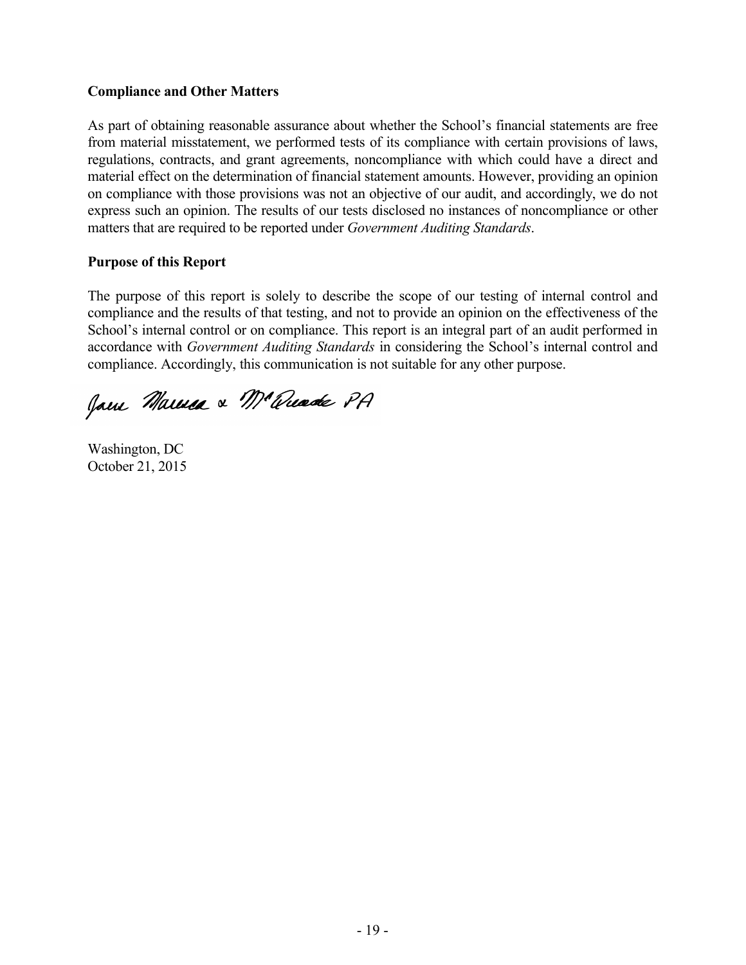## **Compliance and Other Matters**

As part of obtaining reasonable assurance about whether the School's financial statements are free from material misstatement, we performed tests of its compliance with certain provisions of laws, regulations, contracts, and grant agreements, noncompliance with which could have a direct and material effect on the determination of financial statement amounts. However, providing an opinion on compliance with those provisions was not an objective of our audit, and accordingly, we do not express such an opinion. The results of our tests disclosed no instances of noncompliance or other matters that are required to be reported under *Government Auditing Standards*.

## **Purpose of this Report**

The purpose of this report is solely to describe the scope of our testing of internal control and compliance and the results of that testing, and not to provide an opinion on the effectiveness of the School's internal control or on compliance. This report is an integral part of an audit performed in accordance with *Government Auditing Standards* in considering the School's internal control and compliance. Accordingly, this communication is not suitable for any other purpose.

Jam Marina & Ma Quade PA

Washington, DC October 21, 2015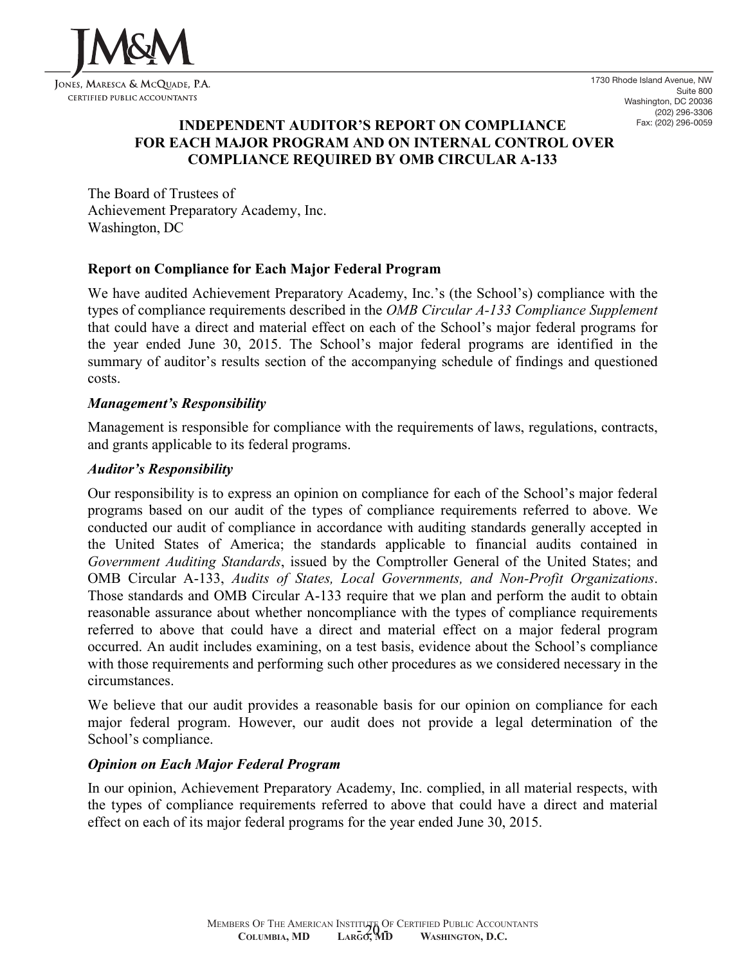



## **INDEPENDENT AUDITOR'S REPORT ON COMPLIANCE FOR EACH MAJOR PROGRAM AND ON INTERNAL CONTROL OVER COMPLIANCE REQUIRED BY OMB CIRCULAR A-133**

The Board of Trustees of Achievement Preparatory Academy, Inc. Washington, DC

## **Report on Compliance for Each Major Federal Program**

We have audited Achievement Preparatory Academy, Inc.'s (the School's) compliance with the types of compliance requirements described in the *OMB Circular A-133 Compliance Supplement* that could have a direct and material effect on each of the School's major federal programs for the year ended June 30, 2015. The School's major federal programs are identified in the summary of auditor's results section of the accompanying schedule of findings and questioned costs.

### *Management's Responsibility*

Management is responsible for compliance with the requirements of laws, regulations, contracts, and grants applicable to its federal programs.

## *Auditor's Responsibility*

Our responsibility is to express an opinion on compliance for each of the School's major federal programs based on our audit of the types of compliance requirements referred to above. We conducted our audit of compliance in accordance with auditing standards generally accepted in the United States of America; the standards applicable to financial audits contained in *Government Auditing Standards*, issued by the Comptroller General of the United States; and OMB Circular A-133, *Audits of States, Local Governments, and Non-Profit Organizations*. Those standards and OMB Circular A-133 require that we plan and perform the audit to obtain reasonable assurance about whether noncompliance with the types of compliance requirements referred to above that could have a direct and material effect on a major federal program occurred. An audit includes examining, on a test basis, evidence about the School's compliance with those requirements and performing such other procedures as we considered necessary in the circumstances.

We believe that our audit provides a reasonable basis for our opinion on compliance for each major federal program. However, our audit does not provide a legal determination of the School's compliance.

## *Opinion on Each Major Federal Program*

In our opinion, Achievement Preparatory Academy, Inc. complied, in all material respects, with the types of compliance requirements referred to above that could have a direct and material effect on each of its major federal programs for the year ended June 30, 2015.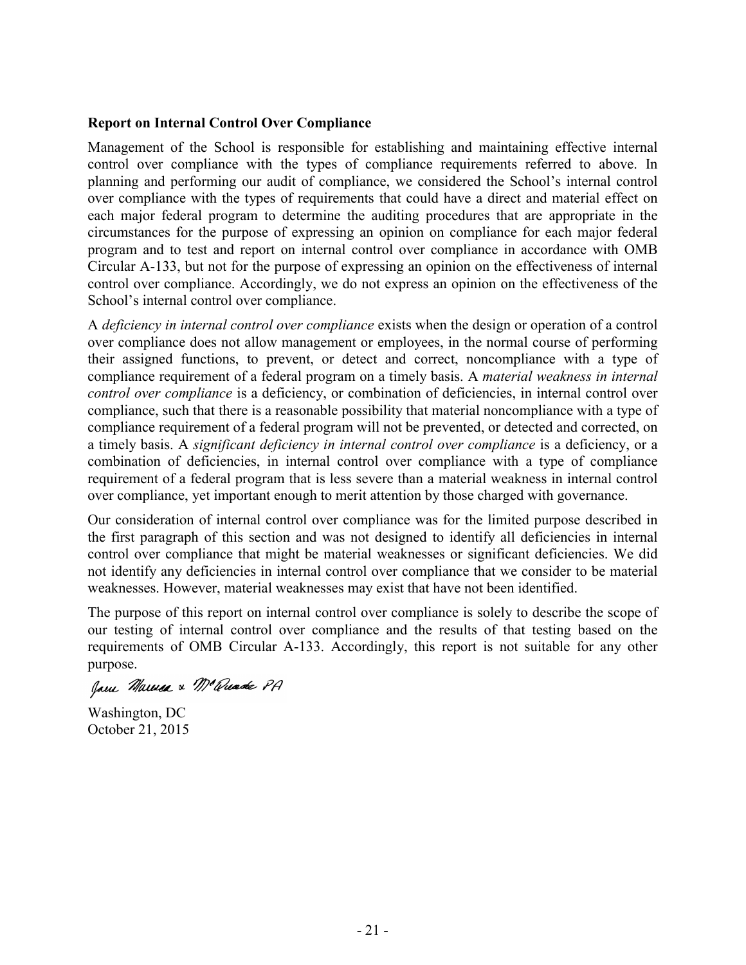## **Report on Internal Control Over Compliance**

Management of the School is responsible for establishing and maintaining effective internal control over compliance with the types of compliance requirements referred to above. In planning and performing our audit of compliance, we considered the School's internal control over compliance with the types of requirements that could have a direct and material effect on each major federal program to determine the auditing procedures that are appropriate in the circumstances for the purpose of expressing an opinion on compliance for each major federal program and to test and report on internal control over compliance in accordance with OMB Circular A-133, but not for the purpose of expressing an opinion on the effectiveness of internal control over compliance. Accordingly, we do not express an opinion on the effectiveness of the School's internal control over compliance.

A *deficiency in internal control over compliance* exists when the design or operation of a control over compliance does not allow management or employees, in the normal course of performing their assigned functions, to prevent, or detect and correct, noncompliance with a type of compliance requirement of a federal program on a timely basis. A *material weakness in internal control over compliance* is a deficiency, or combination of deficiencies, in internal control over compliance, such that there is a reasonable possibility that material noncompliance with a type of compliance requirement of a federal program will not be prevented, or detected and corrected, on a timely basis. A *significant deficiency in internal control over compliance* is a deficiency, or a combination of deficiencies, in internal control over compliance with a type of compliance requirement of a federal program that is less severe than a material weakness in internal control over compliance, yet important enough to merit attention by those charged with governance.

Our consideration of internal control over compliance was for the limited purpose described in the first paragraph of this section and was not designed to identify all deficiencies in internal control over compliance that might be material weaknesses or significant deficiencies. We did not identify any deficiencies in internal control over compliance that we consider to be material weaknesses. However, material weaknesses may exist that have not been identified.

The purpose of this report on internal control over compliance is solely to describe the scope of our testing of internal control over compliance and the results of that testing based on the requirements of OMB Circular A-133. Accordingly, this report is not suitable for any other purpose.

Jam Maruca & M'amade PA

Washington, DC October 21, 2015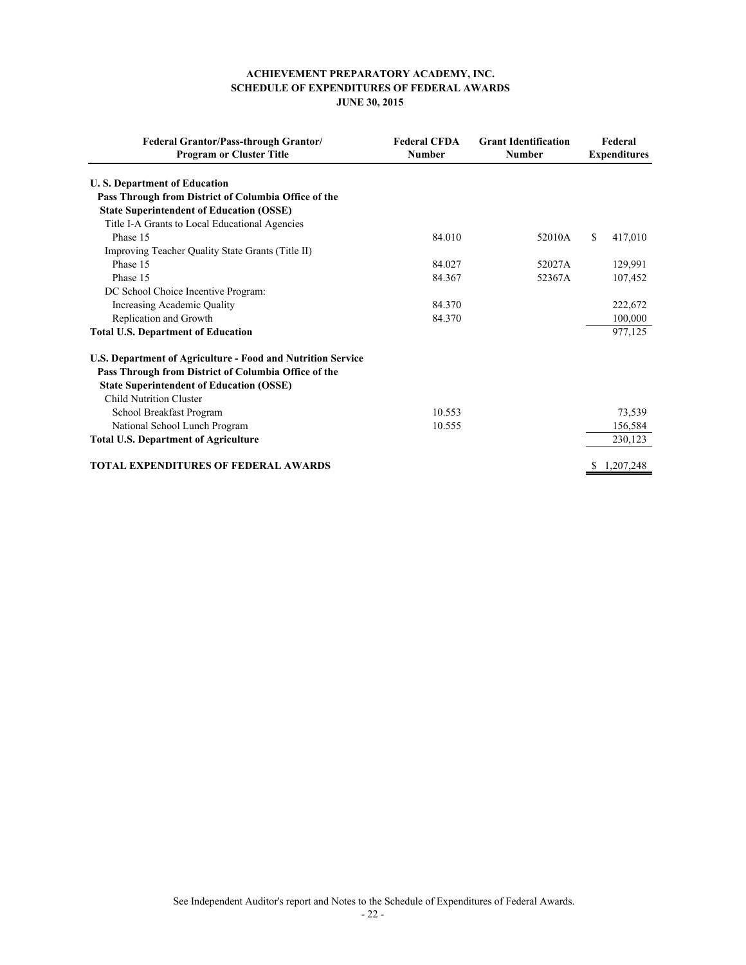#### **ACHIEVEMENT PREPARATORY ACADEMY, INC. SCHEDULE OF EXPENDITURES OF FEDERAL AWARDS JUNE 30, 2015**

| <b>Federal Grantor/Pass-through Grantor/</b><br><b>Program or Cluster Title</b>                                                                                               | <b>Federal CFDA</b><br><b>Grant Identification</b><br><b>Number</b><br><b>Number</b> |        | Federal<br><b>Expenditures</b> |           |  |
|-------------------------------------------------------------------------------------------------------------------------------------------------------------------------------|--------------------------------------------------------------------------------------|--------|--------------------------------|-----------|--|
| <b>U.S. Department of Education</b>                                                                                                                                           |                                                                                      |        |                                |           |  |
| Pass Through from District of Columbia Office of the                                                                                                                          |                                                                                      |        |                                |           |  |
| <b>State Superintendent of Education (OSSE)</b>                                                                                                                               |                                                                                      |        |                                |           |  |
| Title I-A Grants to Local Educational Agencies                                                                                                                                |                                                                                      |        |                                |           |  |
| Phase 15                                                                                                                                                                      | 84.010                                                                               | 52010A | S                              | 417,010   |  |
| Improving Teacher Quality State Grants (Title II)                                                                                                                             |                                                                                      |        |                                |           |  |
| Phase 15                                                                                                                                                                      | 84.027                                                                               | 52027A |                                | 129,991   |  |
| Phase 15                                                                                                                                                                      | 84.367                                                                               | 52367A |                                | 107,452   |  |
| DC School Choice Incentive Program:                                                                                                                                           |                                                                                      |        |                                |           |  |
| Increasing Academic Quality                                                                                                                                                   | 84.370                                                                               |        |                                | 222,672   |  |
| Replication and Growth                                                                                                                                                        | 84.370                                                                               |        |                                | 100,000   |  |
| <b>Total U.S. Department of Education</b>                                                                                                                                     |                                                                                      |        |                                | 977,125   |  |
| <b>U.S. Department of Agriculture - Food and Nutrition Service</b><br>Pass Through from District of Columbia Office of the<br><b>State Superintendent of Education (OSSE)</b> |                                                                                      |        |                                |           |  |
| <b>Child Nutrition Cluster</b>                                                                                                                                                |                                                                                      |        |                                |           |  |
| School Breakfast Program                                                                                                                                                      | 10.553                                                                               |        |                                | 73,539    |  |
| National School Lunch Program                                                                                                                                                 | 10.555                                                                               |        |                                | 156,584   |  |
| <b>Total U.S. Department of Agriculture</b>                                                                                                                                   |                                                                                      |        |                                | 230,123   |  |
| <b>TOTAL EXPENDITURES OF FEDERAL AWARDS</b>                                                                                                                                   |                                                                                      |        |                                | 1,207,248 |  |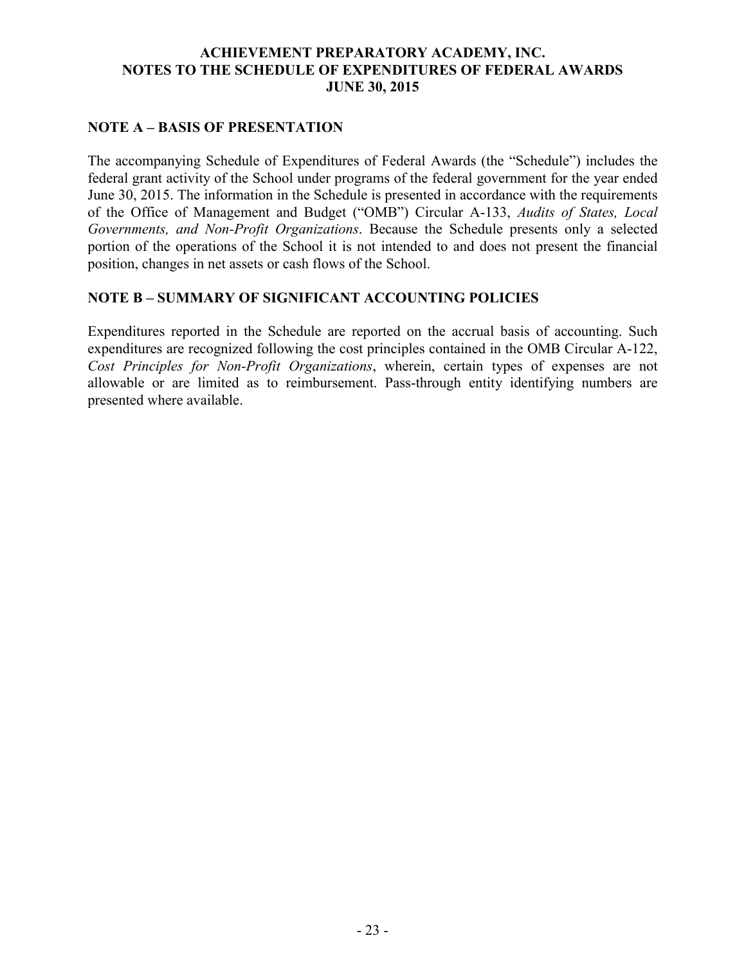## **ACHIEVEMENT PREPARATORY ACADEMY, INC. NOTES TO THE SCHEDULE OF EXPENDITURES OF FEDERAL AWARDS JUNE 30, 2015**

### **NOTE A – BASIS OF PRESENTATION**

The accompanying Schedule of Expenditures of Federal Awards (the "Schedule") includes the federal grant activity of the School under programs of the federal government for the year ended June 30, 2015. The information in the Schedule is presented in accordance with the requirements of the Office of Management and Budget ("OMB") Circular A-133, *Audits of States, Local Governments, and Non-Profit Organizations*. Because the Schedule presents only a selected portion of the operations of the School it is not intended to and does not present the financial position, changes in net assets or cash flows of the School.

### **NOTE B – SUMMARY OF SIGNIFICANT ACCOUNTING POLICIES**

Expenditures reported in the Schedule are reported on the accrual basis of accounting. Such expenditures are recognized following the cost principles contained in the OMB Circular A-122, *Cost Principles for Non-Profit Organizations*, wherein, certain types of expenses are not allowable or are limited as to reimbursement. Pass-through entity identifying numbers are presented where available.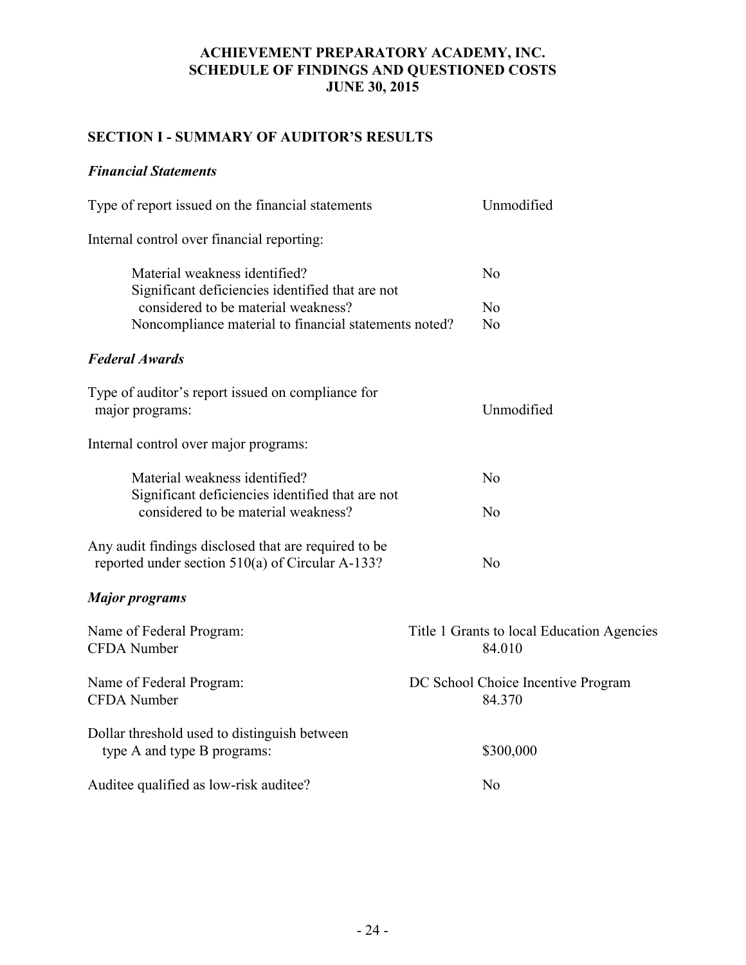## **ACHIEVEMENT PREPARATORY ACADEMY, INC. SCHEDULE OF FINDINGS AND QUESTIONED COSTS JUNE 30, 2015**

# **SECTION I - SUMMARY OF AUDITOR'S RESULTS**

# *Financial Statements*

| Type of report issued on the financial statements                                                          | Unmodified                                           |
|------------------------------------------------------------------------------------------------------------|------------------------------------------------------|
| Internal control over financial reporting:                                                                 |                                                      |
| Material weakness identified?<br>Significant deficiencies identified that are not                          | N <sub>o</sub>                                       |
| considered to be material weakness?                                                                        | N <sub>0</sub>                                       |
| Noncompliance material to financial statements noted?                                                      | N <sub>o</sub>                                       |
| <b>Federal Awards</b>                                                                                      |                                                      |
| Type of auditor's report issued on compliance for<br>major programs:                                       | Unmodified                                           |
| Internal control over major programs:                                                                      |                                                      |
| Material weakness identified?<br>Significant deficiencies identified that are not                          | N <sub>o</sub>                                       |
| considered to be material weakness?                                                                        | No                                                   |
| Any audit findings disclosed that are required to be<br>reported under section $510(a)$ of Circular A-133? | No                                                   |
| <b>Major programs</b>                                                                                      |                                                      |
| Name of Federal Program:<br><b>CFDA</b> Number                                                             | Title 1 Grants to local Education Agencies<br>84.010 |
| Name of Federal Program:<br><b>CFDA</b> Number                                                             | DC School Choice Incentive Program<br>84.370         |
| Dollar threshold used to distinguish between<br>type A and type B programs:                                | \$300,000                                            |
| Auditee qualified as low-risk auditee?                                                                     | N <sub>o</sub>                                       |